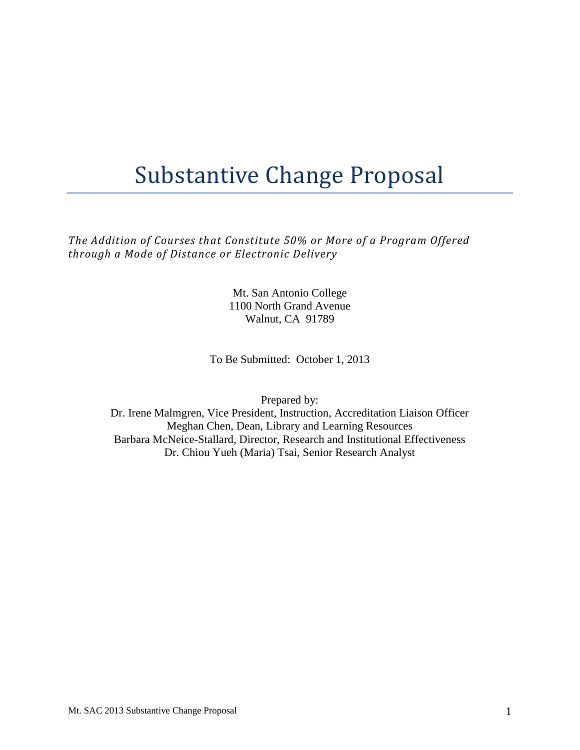# Substantive Change Proposal

 *The Addition of Courses that Constitute 50% or More of a Program Offered through a Mode of Distance or Electronic Delivery* 

> Mt. San Antonio College 1100 North Grand Avenue Walnut, CA 91789

To Be Submitted: October 1, 2013

Prepared by:

Dr. Irene Malmgren, Vice President, Instruction, Accreditation Liaison Officer Meghan Chen, Dean, Library and Learning Resources Barbara McNeice-Stallard, Director, Research and Institutional Effectiveness Dr. Chiou Yueh (Maria) Tsai, Senior Research Analyst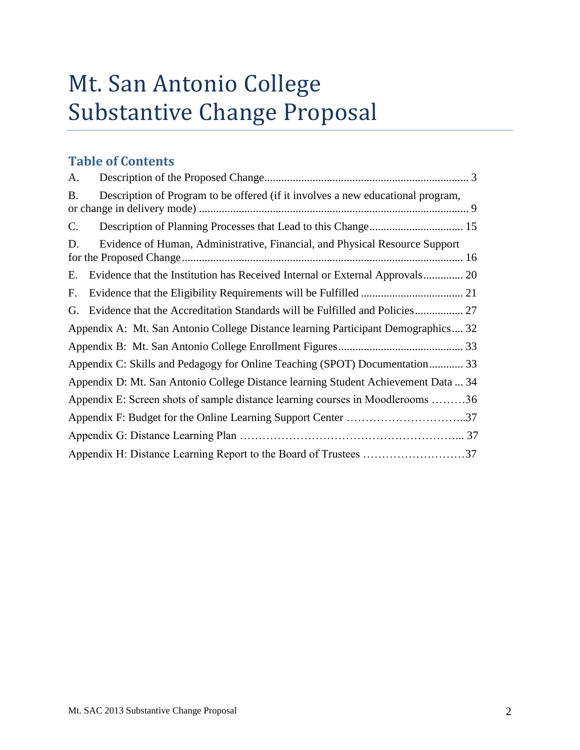# Mt. San Antonio College Substantive Change Proposal

# **Table of Contents**

| A.                                                                                           |
|----------------------------------------------------------------------------------------------|
| Description of Program to be offered (if it involves a new educational program,<br><b>B.</b> |
| $\mathbf{C}$ .                                                                               |
| Evidence of Human, Administrative, Financial, and Physical Resource Support<br>D.            |
| Evidence that the Institution has Received Internal or External Approvals 20<br>Е.           |
| F.                                                                                           |
| G.                                                                                           |
| Appendix A: Mt. San Antonio College Distance learning Participant Demographics 32            |
|                                                                                              |
| Appendix C: Skills and Pedagogy for Online Teaching (SPOT) Documentation 33                  |
| Appendix D: Mt. San Antonio College Distance learning Student Achievement Data  34           |
| Appendix E: Screen shots of sample distance learning courses in Moodlerooms 36               |
| Appendix F: Budget for the Online Learning Support Center 37                                 |
|                                                                                              |
|                                                                                              |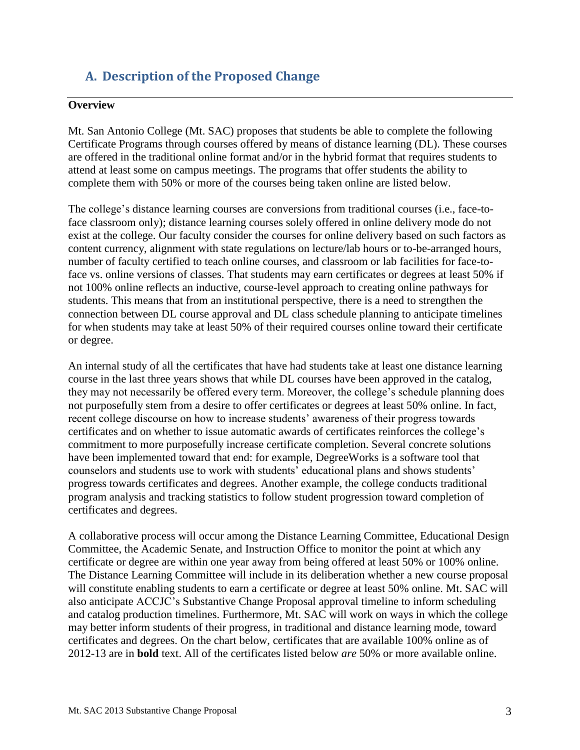# <span id="page-2-0"></span>**A. Description of the Proposed Change**

#### **Overview**

 Certificate Programs through courses offered by means of distance learning (DL). These courses Mt. San Antonio College (Mt. SAC) proposes that students be able to complete the following are offered in the traditional online format and/or in the hybrid format that requires students to attend at least some on campus meetings. The programs that offer students the ability to complete them with 50% or more of the courses being taken online are listed below.

 The college's distance learning courses are conversions from traditional courses (i.e., face-to- exist at the college. Our faculty consider the courses for online delivery based on such factors as face classroom only); distance learning courses solely offered in online delivery mode do not content currency, alignment with state regulations on lecture/lab hours or to-be-arranged hours, number of faculty certified to teach online courses, and classroom or lab facilities for face-toface vs. online versions of classes. That students may earn certificates or degrees at least 50% if not 100% online reflects an inductive, course-level approach to creating online pathways for students. This means that from an institutional perspective, there is a need to strengthen the connection between DL course approval and DL class schedule planning to anticipate timelines for when students may take at least 50% of their required courses online toward their certificate or degree.

 course in the last three years shows that while DL courses have been approved in the catalog, An internal study of all the certificates that have had students take at least one distance learning they may not necessarily be offered every term. Moreover, the college's schedule planning does not purposefully stem from a desire to offer certificates or degrees at least 50% online. In fact, recent college discourse on how to increase students' awareness of their progress towards certificates and on whether to issue automatic awards of certificates reinforces the college's commitment to more purposefully increase certificate completion. Several concrete solutions have been implemented toward that end: for example, DegreeWorks is a software tool that counselors and students use to work with students' educational plans and shows students' progress towards certificates and degrees. Another example, the college conducts traditional program analysis and tracking statistics to follow student progression toward completion of certificates and degrees.

 certificate or degree are within one year away from being offered at least 50% or 100% online. The Distance Learning Committee will include in its deliberation whether a new course proposal will constitute enabling students to earn a certificate or degree at least 50% online. Mt. SAC will may better inform students of their progress, in traditional and distance learning mode, toward A collaborative process will occur among the Distance Learning Committee, Educational Design Committee, the Academic Senate, and Instruction Office to monitor the point at which any also anticipate ACCJC's Substantive Change Proposal approval timeline to inform scheduling and catalog production timelines. Furthermore, Mt. SAC will work on ways in which the college certificates and degrees. On the chart below, certificates that are available 100% online as of 2012-13 are in **bold** text. All of the certificates listed below *are* 50% or more available online.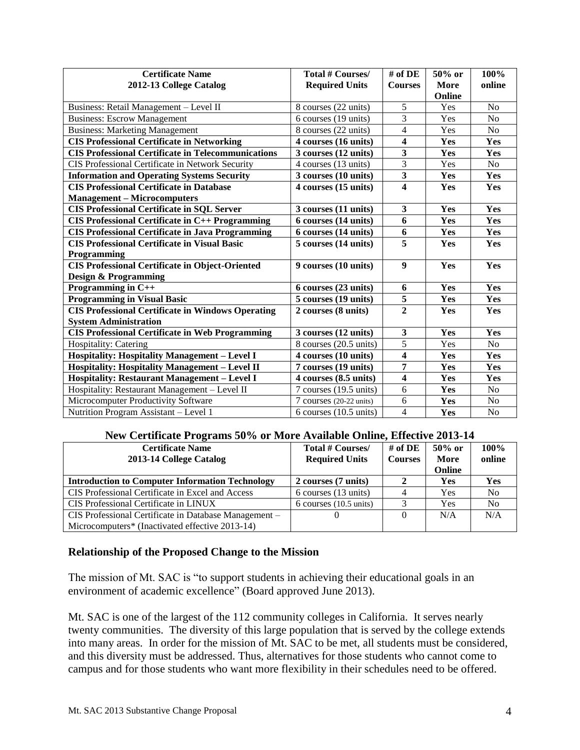| <b>Certificate Name</b><br>2012-13 College Catalog        | <b>Total # Courses/</b><br><b>Required Units</b> | # of DE<br><b>Courses</b> | 50% or<br>More<br>Online | 100%<br>online |
|-----------------------------------------------------------|--------------------------------------------------|---------------------------|--------------------------|----------------|
| Business: Retail Management - Level II                    | 8 courses (22 units)                             | 5                         | Yes                      | No             |
| <b>Business: Escrow Management</b>                        | 6 courses (19 units)                             | $\overline{3}$            | Yes                      | N <sub>o</sub> |
| <b>Business: Marketing Management</b>                     | 8 courses (22 units)                             | $\overline{4}$            | Yes                      | N <sub>o</sub> |
| <b>CIS Professional Certificate in Networking</b>         | 4 courses (16 units)                             | 4                         | Yes                      | Yes            |
| <b>CIS Professional Certificate in Telecommunications</b> | 3 courses (12 units)                             | 3                         | Yes                      | Yes            |
| CIS Professional Certificate in Network Security          | 4 courses (13 units)                             | 3                         | Yes                      | No             |
| <b>Information and Operating Systems Security</b>         | 3 courses (10 units)                             | $\overline{\mathbf{3}}$   | Yes                      | Yes            |
| <b>CIS Professional Certificate in Database</b>           | 4 courses (15 units)                             | $\overline{\mathbf{4}}$   | Yes                      | Yes            |
| <b>Management - Microcomputers</b>                        |                                                  |                           |                          |                |
| <b>CIS Professional Certificate in SQL Server</b>         | 3 courses (11 units)                             | $\mathbf{3}$              | Yes                      | Yes            |
| <b>CIS Professional Certificate in C++ Programming</b>    | 6 courses (14 units)                             | 6                         | Yes                      | Yes            |
| <b>CIS Professional Certificate in Java Programming</b>   | 6 courses (14 units)                             | 6                         | Yes                      | Yes            |
| <b>CIS Professional Certificate in Visual Basic</b>       | 5 courses (14 units)                             | 5                         | Yes                      | Yes            |
| Programming                                               |                                                  |                           |                          |                |
| <b>CIS Professional Certificate in Object-Oriented</b>    | 9 courses (10 units)                             | $\boldsymbol{9}$          | Yes                      | Yes            |
| <b>Design &amp; Programming</b>                           |                                                  |                           |                          |                |
| Programming in C++                                        | 6 courses (23 units)                             | 6                         | Yes                      | Yes            |
| <b>Programming in Visual Basic</b>                        | 5 courses (19 units)                             | 5                         | Yes                      | Yes            |
| <b>CIS Professional Certificate in Windows Operating</b>  | 2 courses (8 units)                              | $\overline{2}$            | Yes                      | Yes            |
| <b>System Administration</b>                              |                                                  |                           |                          |                |
| <b>CIS Professional Certificate in Web Programming</b>    | 3 courses (12 units)                             | $\mathbf{3}$              | Yes                      | Yes            |
| Hospitality: Catering                                     | 8 courses (20.5 units)                           | 5                         | Yes                      | N <sub>o</sub> |
| <b>Hospitality: Hospitality Management - Level I</b>      | 4 courses (10 units)                             | 4                         | Yes                      | Yes            |
| Hospitality: Hospitality Management - Level II            | 7 courses (19 units)                             | 7                         | Yes                      | Yes            |
| <b>Hospitality: Restaurant Management - Level I</b>       | 4 courses (8.5 units)                            | $\overline{\mathbf{4}}$   | Yes                      | Yes            |
| Hospitality: Restaurant Management - Level II             | 7 courses (19.5 units)                           | 6                         | Yes                      | N <sub>o</sub> |
| Microcomputer Productivity Software                       | 7 courses (20-22 units)                          | 6                         | Yes                      | No             |
| Nutrition Program Assistant - Level 1                     | $6$ courses $(10.5 \text{ units})$               | $\overline{4}$            | Yes                      | N <sub>o</sub> |

#### **New Certificate Programs 50% or More Available Online, Effective 2013-14**

| <b>Certificate Name</b><br>2013-14 College Catalog     | Total # Courses/<br><b>Required Units</b> | # of $\bf{DE}$<br><b>Courses</b> | $50\%$ or<br>More<br>Online | $100\%$<br>online |
|--------------------------------------------------------|-------------------------------------------|----------------------------------|-----------------------------|-------------------|
| <b>Introduction to Computer Information Technology</b> | 2 courses (7 units)                       |                                  | Yes                         | <b>Yes</b>        |
| CIS Professional Certificate in Excel and Access       | 6 courses (13 units)                      |                                  | Yes                         | N <sub>0</sub>    |
| CIS Professional Certificate in LINUX                  | $6$ courses $(10.5 \text{ units})$        |                                  | Yes                         | N <sub>0</sub>    |
| CIS Professional Certificate in Database Management -  |                                           | 0                                | N/A                         | N/A               |
| Microcomputers* (Inactivated effective 2013-14)        |                                           |                                  |                             |                   |

#### **Relationship of the Proposed Change to the Mission**

The mission of Mt. SAC is "to support students in achieving their educational goals in an environment of academic excellence" (Board approved June 2013).

 Mt. SAC is one of the largest of the 112 community colleges in California. It serves nearly twenty communities. The diversity of this large population that is served by the college extends into many areas. In order for the mission of Mt. SAC to be met, all students must be considered, and this diversity must be addressed. Thus, alternatives for those students who cannot come to campus and for those students who want more flexibility in their schedules need to be offered.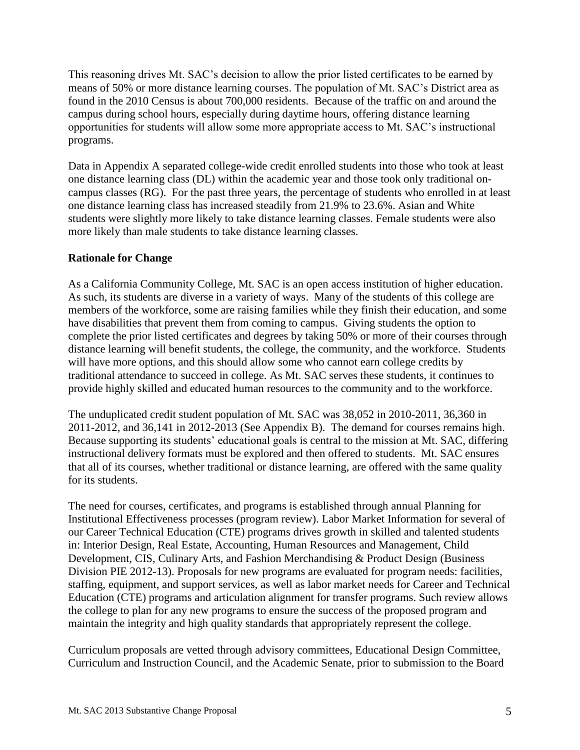means of 50% or more distance learning courses. The population of Mt. SAC's District area as programs. This reasoning drives Mt. SAC's decision to allow the prior listed certificates to be earned by found in the 2010 Census is about 700,000 residents. Because of the traffic on and around the campus during school hours, especially during daytime hours, offering distance learning opportunities for students will allow some more appropriate access to Mt. SAC's instructional

programs.<br>Data in Appendix A separated college-wide credit enrolled students into those who took at least one distance learning class (DL) within the academic year and those took only traditional oncampus classes (RG). For the past three years, the percentage of students who enrolled in at least one distance learning class has increased steadily from 21.9% to 23.6%. Asian and White students were slightly more likely to take distance learning classes. Female students were also more likely than male students to take distance learning classes.

#### **Rationale for Change**

 complete the prior listed certificates and degrees by taking 50% or more of their courses through As a California Community College, Mt. SAC is an open access institution of higher education. As such, its students are diverse in a variety of ways. Many of the students of this college are members of the workforce, some are raising families while they finish their education, and some have disabilities that prevent them from coming to campus. Giving students the option to distance learning will benefit students, the college, the community, and the workforce. Students will have more options, and this should allow some who cannot earn college credits by traditional attendance to succeed in college. As Mt. SAC serves these students, it continues to provide highly skilled and educated human resources to the community and to the workforce.

 The unduplicated credit student population of Mt. SAC was 38,052 in 2010-2011, 36,360 in 2011-2012, and 36,141 in 2012-2013 (See Appendix B). The demand for courses remains high. Because supporting its students' educational goals is central to the mission at Mt. SAC, differing instructional delivery formats must be explored and then offered to students. Mt. SAC ensures that all of its courses, whether traditional or distance learning, are offered with the same quality for its students.

The need for courses, certificates, and programs is established through annual Planning for Institutional Effectiveness processes (program review). Labor Market Information for several of our Career Technical Education (CTE) programs drives growth in skilled and talented students in: Interior Design, Real Estate, Accounting, Human Resources and Management, Child Development, CIS, Culinary Arts, and Fashion Merchandising & Product Design (Business Division PIE 2012-13). Proposals for new programs are evaluated for program needs: facilities, staffing, equipment, and support services, as well as labor market needs for Career and Technical Education (CTE) programs and articulation alignment for transfer programs. Such review allows the college to plan for any new programs to ensure the success of the proposed program and maintain the integrity and high quality standards that appropriately represent the college.

Curriculum proposals are vetted through advisory committees, Educational Design Committee, Curriculum and Instruction Council, and the Academic Senate, prior to submission to the Board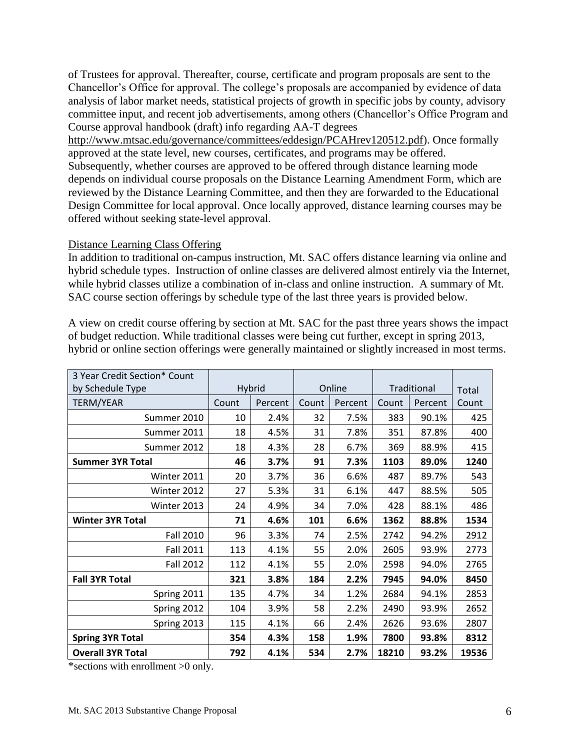of Trustees for approval. Thereafter, course, certificate and program proposals are sent to the Chancellor's Office for approval. The college's proposals are accompanied by evidence of data analysis of labor market needs, statistical projects of growth in specific jobs by county, advisory committee input, and recent job advertisements, among others (Chancellor's Office Program and Course approval handbook (draft) info regarding AA-T degrees

 reviewed by the Distance Learning Committee, and then they are forwarded to the Educational [http://www.mtsac.edu/governance/committees/eddesign/PCAHrev120512.pdf\)](http://www.mtsac.edu/governance/committees/eddesign/PCAHrev120512.pdf). Once formally approved at the state level, new courses, certificates, and programs may be offered. Subsequently, whether courses are approved to be offered through distance learning mode depends on individual course proposals on the Distance Learning Amendment Form, which are Design Committee for local approval. Once locally approved, distance learning courses may be offered without seeking state-level approval.

#### Distance Learning Class Offering

 In addition to traditional on-campus instruction, Mt. SAC offers distance learning via online and hybrid schedule types. Instruction of online classes are delivered almost entirely via the Internet, while hybrid classes utilize a combination of in-class and online instruction. A summary of Mt. SAC course section offerings by schedule type of the last three years is provided below.

 hybrid or online section offerings were generally maintained or slightly increased in most terms. A view on credit course offering by section at Mt. SAC for the past three years shows the impact of budget reduction. While traditional classes were being cut further, except in spring 2013,

| 3 Year Credit Section* Count |       |         |       |         |       |             |       |
|------------------------------|-------|---------|-------|---------|-------|-------------|-------|
| by Schedule Type             |       | Hybrid  |       | Online  |       | Traditional | Total |
| <b>TERM/YEAR</b>             | Count | Percent | Count | Percent | Count | Percent     | Count |
| Summer 2010                  | 10    | 2.4%    | 32    | 7.5%    | 383   | 90.1%       | 425   |
| Summer 2011                  | 18    | 4.5%    | 31    | 7.8%    | 351   | 87.8%       | 400   |
| Summer 2012                  | 18    | 4.3%    | 28    | 6.7%    | 369   | 88.9%       | 415   |
| <b>Summer 3YR Total</b>      | 46    | 3.7%    | 91    | 7.3%    | 1103  | 89.0%       | 1240  |
| Winter 2011                  | 20    | 3.7%    | 36    | 6.6%    | 487   | 89.7%       | 543   |
| Winter 2012                  | 27    | 5.3%    | 31    | 6.1%    | 447   | 88.5%       | 505   |
| Winter 2013                  | 24    | 4.9%    | 34    | 7.0%    | 428   | 88.1%       | 486   |
| <b>Winter 3YR Total</b>      | 71    | 4.6%    | 101   | 6.6%    | 1362  | 88.8%       | 1534  |
| Fall 2010                    | 96    | 3.3%    | 74    | 2.5%    | 2742  | 94.2%       | 2912  |
| <b>Fall 2011</b>             | 113   | 4.1%    | 55    | 2.0%    | 2605  | 93.9%       | 2773  |
| <b>Fall 2012</b>             | 112   | 4.1%    | 55    | 2.0%    | 2598  | 94.0%       | 2765  |
| <b>Fall 3YR Total</b>        | 321   | 3.8%    | 184   | 2.2%    | 7945  | 94.0%       | 8450  |
| Spring 2011                  | 135   | 4.7%    | 34    | 1.2%    | 2684  | 94.1%       | 2853  |
| Spring 2012                  | 104   | 3.9%    | 58    | 2.2%    | 2490  | 93.9%       | 2652  |
| Spring 2013                  | 115   | 4.1%    | 66    | 2.4%    | 2626  | 93.6%       | 2807  |
| <b>Spring 3YR Total</b>      | 354   | 4.3%    | 158   | 1.9%    | 7800  | 93.8%       | 8312  |
| <b>Overall 3YR Total</b>     | 792   | 4.1%    | 534   | 2.7%    | 18210 | 93.2%       | 19536 |

\*sections with enrollment >0 only.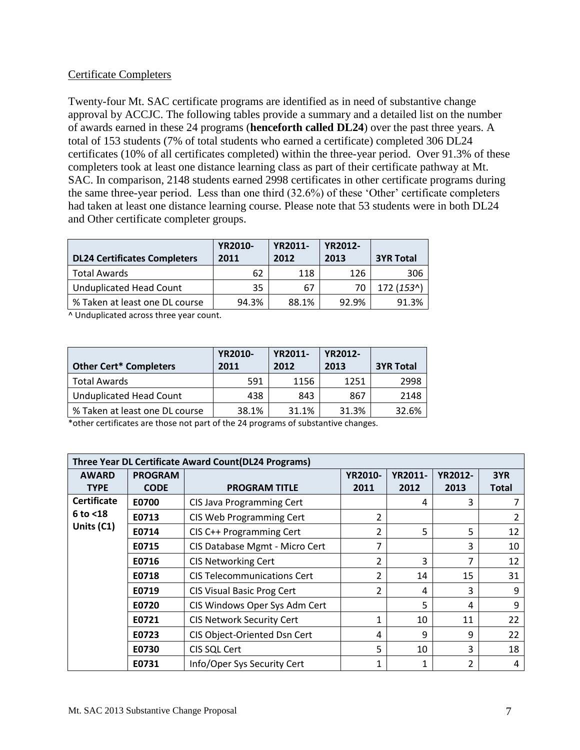#### Certificate Completers

 Twenty-four Mt. SAC certificate programs are identified as in need of substantive change approval by ACCJC. The following tables provide a summary and a detailed list on the number completers took at least one distance learning class as part of their certificate pathway at Mt. SAC. In comparison, 2148 students earned 2998 certificates in other certificate programs during had taken at least one distance learning course. Please note that 53 students were in both DL24 and Other certificate completer groups. of awards earned in these 24 programs (**henceforth called DL24**) over the past three years. A total of 153 students (7% of total students who earned a certificate) completed 306 DL24 certificates (10% of all certificates completed) within the three-year period. Over 91.3% of these the same three-year period. Less than one third (32.6%) of these 'Other' certificate completers

| <b>DL24 Certificates Completers</b> | <b>YR2010-</b><br>2011 | <b>YR2011-</b><br>2012 | <b>YR2012-</b><br>2013 | <b>3YR Total</b> |
|-------------------------------------|------------------------|------------------------|------------------------|------------------|
| Total Awards                        | 62                     | 118                    | 126                    | 306              |
| <b>Unduplicated Head Count</b>      | 35                     | 67                     | 70                     | 172 (153^)       |
| % Taken at least one DL course      | 94.3%                  | 88.1%                  | 92.9%                  | 91.3%            |

^ Unduplicated across three year count.

| <b>Other Cert* Completers</b>  | <b>YR2010-</b><br>2011 | <b>YR2011-</b><br>2012 | <b>YR2012-</b><br>2013 | <b>3YR Total</b> |
|--------------------------------|------------------------|------------------------|------------------------|------------------|
| <b>Total Awards</b>            | 591                    | 1156                   | 1251                   | 2998             |
| <b>Unduplicated Head Count</b> | 438                    | 843                    | 867                    | 2148             |
| % Taken at least one DL course | 38.1%                  | 31.1%                  | 31.3%                  | 32.6%            |

\*other certificates are those not part of the 24 programs of substantive changes.

|                    | <b>Three Year DL Certificate Award Count (DL24 Programs)</b> |                                    |                |      |                |              |  |  |  |  |  |
|--------------------|--------------------------------------------------------------|------------------------------------|----------------|------|----------------|--------------|--|--|--|--|--|
| <b>AWARD</b>       | <b>PROGRAM</b>                                               |                                    | <b>YR2012-</b> | 3YR  |                |              |  |  |  |  |  |
| <b>TYPE</b>        | <b>CODE</b>                                                  | <b>PROGRAM TITLE</b>               | 2011           | 2012 | 2013           | <b>Total</b> |  |  |  |  |  |
| <b>Certificate</b> | E0700                                                        | CIS Java Programming Cert          |                | 4    | 3              |              |  |  |  |  |  |
| $6$ to $<$ 18      | E0713                                                        | CIS Web Programming Cert           | 2              |      |                | 2            |  |  |  |  |  |
| Units (C1)         | E0714                                                        | CIS C++ Programming Cert           | 2              | 5    | 5              | 12           |  |  |  |  |  |
|                    | E0715                                                        | CIS Database Mgmt - Micro Cert     |                |      | 3              | 10           |  |  |  |  |  |
|                    | E0716                                                        | <b>CIS Networking Cert</b>         | 2              | 3    | 7              | 12           |  |  |  |  |  |
|                    | E0718                                                        | <b>CIS Telecommunications Cert</b> | $\overline{2}$ | 14   | 15             | 31           |  |  |  |  |  |
|                    | E0719                                                        | <b>CIS Visual Basic Prog Cert</b>  | 2              | 4    | 3              | 9            |  |  |  |  |  |
|                    | E0720                                                        | CIS Windows Oper Sys Adm Cert      |                | 5    | 4              | 9            |  |  |  |  |  |
|                    | E0721                                                        | <b>CIS Network Security Cert</b>   | $\mathbf{1}$   | 10   | 11             | 22           |  |  |  |  |  |
|                    | E0723                                                        | CIS Object-Oriented Dsn Cert       | 4              | 9    | 9              | 22           |  |  |  |  |  |
|                    | E0730                                                        | CIS SQL Cert                       | 5              | 10   | 3              | 18           |  |  |  |  |  |
|                    | E0731                                                        | Info/Oper Sys Security Cert        | 1              | 1    | $\overline{2}$ | 4            |  |  |  |  |  |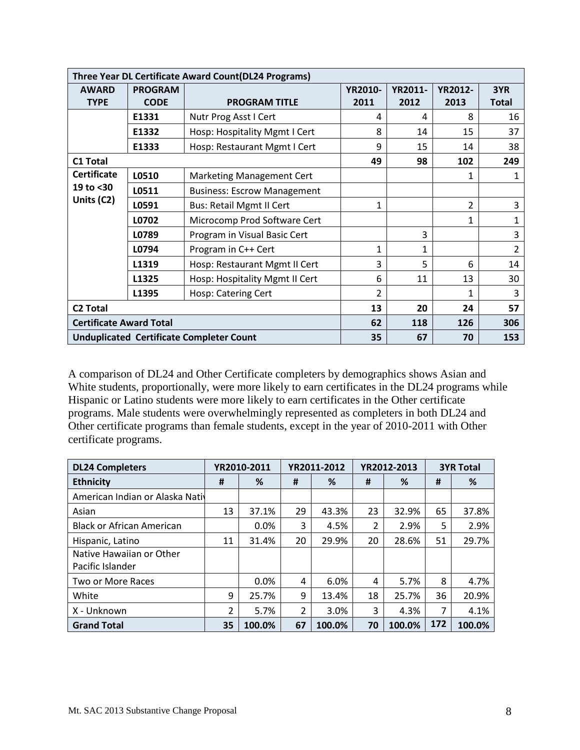|                                | Three Year DL Certificate Award Count(DL24 Programs) |                                                 |                |                |                |                |  |  |  |
|--------------------------------|------------------------------------------------------|-------------------------------------------------|----------------|----------------|----------------|----------------|--|--|--|
| <b>AWARD</b>                   | <b>PROGRAM</b>                                       |                                                 | <b>YR2010-</b> | <b>YR2011-</b> | <b>YR2012-</b> | 3YR            |  |  |  |
| <b>TYPE</b>                    | <b>CODE</b>                                          | <b>PROGRAM TITLE</b>                            | 2011           | 2012           | 2013           | <b>Total</b>   |  |  |  |
|                                | E1331                                                | Nutr Prog Asst I Cert                           | 4              | 4              | 8              | 16             |  |  |  |
|                                | E1332                                                | Hosp: Hospitality Mgmt I Cert                   | 8              | 14             | 15             | 37             |  |  |  |
|                                | E1333                                                | Hosp: Restaurant Mgmt I Cert                    | 9              | 15             | 14             | 38             |  |  |  |
| <b>C1 Total</b>                |                                                      |                                                 | 49             | 98             | 102            | 249            |  |  |  |
| <b>Certificate</b>             | L0510                                                | Marketing Management Cert                       |                |                | 1              | 1              |  |  |  |
| 19 to <30                      | L0511                                                | <b>Business: Escrow Management</b>              |                |                |                |                |  |  |  |
| Units (C2)                     | L0591                                                | <b>Bus: Retail Mgmt II Cert</b>                 | 1              |                | $\overline{2}$ | 3              |  |  |  |
|                                | L0702                                                | Microcomp Prod Software Cert                    |                |                | $\mathbf{1}$   | $\mathbf{1}$   |  |  |  |
|                                | L0789                                                | Program in Visual Basic Cert                    |                | 3              |                | 3              |  |  |  |
|                                | L0794                                                | Program in C++ Cert                             | $\mathbf{1}$   | $\mathbf{1}$   |                | $\overline{2}$ |  |  |  |
|                                | L1319                                                | Hosp: Restaurant Mgmt II Cert                   | 3              | 5              | 6              | 14             |  |  |  |
|                                | L1325                                                | Hosp: Hospitality Mgmt II Cert                  | 6              | 11             | 13             | 30             |  |  |  |
|                                | L1395                                                | Hosp: Catering Cert                             | $\overline{2}$ |                | 1              | 3              |  |  |  |
| <b>C2 Total</b>                |                                                      |                                                 | 13             | 20             | 24             | 57             |  |  |  |
| <b>Certificate Award Total</b> |                                                      |                                                 | 62             | 118            | 126            | 306            |  |  |  |
|                                |                                                      | <b>Unduplicated Certificate Completer Count</b> | 35             | 67             | 70             | 153            |  |  |  |

A comparison of DL24 and Other Certificate completers by demographics shows Asian and White students, proportionally, were more likely to earn certificates in the DL24 programs while Hispanic or Latino students were more likely to earn certificates in the Other certificate programs. Male students were overwhelmingly represented as completers in both DL24 and Other certificate programs than female students, except in the year of 2010-2011 with Other certificate programs.

| <b>DL24 Completers</b>           |    | YR2010-2011 |    | YR2011-2012 | YR2012-2013 |        | <b>3YR Total</b> |        |
|----------------------------------|----|-------------|----|-------------|-------------|--------|------------------|--------|
| <b>Ethnicity</b>                 | #  | %           | #  | %           | #           | %      | #                | %      |
| American Indian or Alaska Nativ  |    |             |    |             |             |        |                  |        |
| Asian                            | 13 | 37.1%       | 29 | 43.3%       | 23          | 32.9%  | 65               | 37.8%  |
| <b>Black or African American</b> |    | 0.0%        | 3  | 4.5%        | 2           | 2.9%   | 5                | 2.9%   |
| Hispanic, Latino                 | 11 | 31.4%       | 20 | 29.9%       | 20          | 28.6%  | 51               | 29.7%  |
| Native Hawaiian or Other         |    |             |    |             |             |        |                  |        |
| Pacific Islander                 |    |             |    |             |             |        |                  |        |
| Two or More Races                |    | 0.0%        | 4  | 6.0%        | 4           | 5.7%   | 8                | 4.7%   |
| White                            | 9  | 25.7%       | 9  | 13.4%       | 18          | 25.7%  | 36               | 20.9%  |
| X - Unknown                      | 2  | 5.7%        | 2  | 3.0%        | 3           | 4.3%   | 7                | 4.1%   |
| <b>Grand Total</b>               | 35 | 100.0%      | 67 | 100.0%      | 70          | 100.0% | 172              | 100.0% |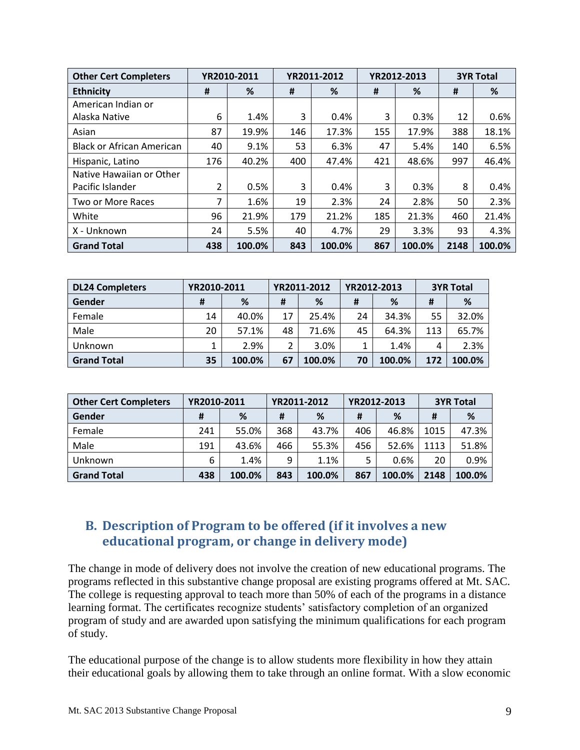| <b>Other Cert Completers</b>     |     | YR2010-2011 |     | YR2011-2012 |     | YR2012-2013 |      | <b>3YR Total</b> |  |  |
|----------------------------------|-----|-------------|-----|-------------|-----|-------------|------|------------------|--|--|
| <b>Ethnicity</b>                 | #   | %           | #   | %           | #   | %           | #    | %                |  |  |
| American Indian or               |     |             |     |             |     |             |      |                  |  |  |
| Alaska Native                    | 6   | 1.4%        | 3   | 0.4%        | 3   | 0.3%        | 12   | 0.6%             |  |  |
| Asian                            | 87  | 19.9%       | 146 | 17.3%       | 155 | 17.9%       | 388  | 18.1%            |  |  |
| <b>Black or African American</b> | 40  | 9.1%        | 53  | 6.3%        | 47  | 5.4%        | 140  | 6.5%             |  |  |
| Hispanic, Latino                 | 176 | 40.2%       | 400 | 47.4%       | 421 | 48.6%       | 997  | 46.4%            |  |  |
| Native Hawaiian or Other         |     |             |     |             |     |             |      |                  |  |  |
| Pacific Islander                 | 2   | 0.5%        | 3   | 0.4%        | 3   | 0.3%        | 8    | 0.4%             |  |  |
| Two or More Races                | 7   | 1.6%        | 19  | 2.3%        | 24  | 2.8%        | 50   | 2.3%             |  |  |
| White                            | 96  | 21.9%       | 179 | 21.2%       | 185 | 21.3%       | 460  | 21.4%            |  |  |
| X - Unknown                      | 24  | 5.5%        | 40  | 4.7%        | 29  | 3.3%        | 93   | 4.3%             |  |  |
| <b>Grand Total</b>               | 438 | 100.0%      | 843 | 100.0%      | 867 | 100.0%      | 2148 | 100.0%           |  |  |

| <b>DL24 Completers</b> | YR2010-2011 |        | YR2011-2012 |        | YR2012-2013 |        | <b>3YR Total</b> |        |
|------------------------|-------------|--------|-------------|--------|-------------|--------|------------------|--------|
| Gender                 | #           | %      | #           | %      | #           | %      | #                | %      |
| Female                 | 14          | 40.0%  | 17          | 25.4%  | 24          | 34.3%  | 55               | 32.0%  |
| Male                   | 20          | 57.1%  | 48          | 71.6%  | 45          | 64.3%  | 113              | 65.7%  |
| Unknown                | 1           | 2.9%   |             | 3.0%   |             | 1.4%   | 4                | 2.3%   |
| <b>Grand Total</b>     | 35          | 100.0% | 67          | 100.0% | 70          | 100.0% | 172              | 100.0% |

| <b>Other Cert Completers</b> | YR2010-2011 |        | YR2011-2012 |        | YR2012-2013 |        | <b>3YR Total</b> |        |
|------------------------------|-------------|--------|-------------|--------|-------------|--------|------------------|--------|
| Gender                       | #           | %      | #           | %      | Ħ           | %      | #                | %      |
| Female                       | 241         | 55.0%  | 368         | 43.7%  | 406         | 46.8%  | 1015             | 47.3%  |
| Male                         | 191         | 43.6%  | 466         | 55.3%  | 456         | 52.6%  | 1113             | 51.8%  |
| Unknown                      | 6           | 1.4%   | 9           | 1.1%   |             | 0.6%   | 20               | 0.9%   |
| <b>Grand Total</b>           | 438         | 100.0% | 843         | 100.0% | 867         | 100.0% | 2148             | 100.0% |

## <span id="page-8-0"></span> **B. Description of Program to be offered (if it involves a new educational program, or change in delivery mode)**

 The college is requesting approval to teach more than 50% of each of the programs in a distance learning format. The certificates recognize students' satisfactory completion of an organized The change in mode of delivery does not involve the creation of new educational programs. The programs reflected in this substantive change proposal are existing programs offered at Mt. SAC. program of study and are awarded upon satisfying the minimum qualifications for each program of study.

 The educational purpose of the change is to allow students more flexibility in how they attain their educational goals by allowing them to take through an online format. With a slow economic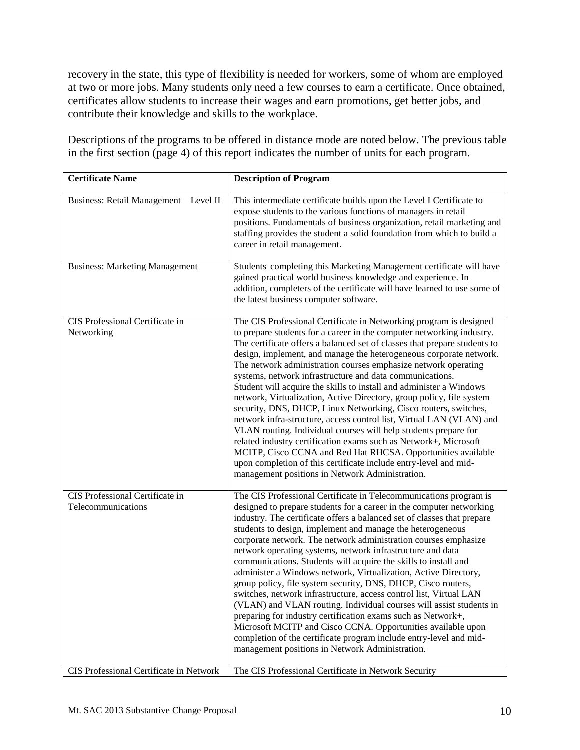recovery in the state, this type of flexibility is needed for workers, some of whom are employed at two or more jobs. Many students only need a few courses to earn a certificate. Once obtained, certificates allow students to increase their wages and earn promotions, get better jobs, and contribute their knowledge and skills to the workplace.

 in the first section (page 4) of this report indicates the number of units for each program. Descriptions of the programs to be offered in distance mode are noted below. The previous table

| <b>Certificate Name</b>                               | <b>Description of Program</b>                                                                                                                                                                                                                                                                                                                                                                                                                                                                                                                                                                                                                                                                                                                                                                                                                                                                                                                                                                                                                        |
|-------------------------------------------------------|------------------------------------------------------------------------------------------------------------------------------------------------------------------------------------------------------------------------------------------------------------------------------------------------------------------------------------------------------------------------------------------------------------------------------------------------------------------------------------------------------------------------------------------------------------------------------------------------------------------------------------------------------------------------------------------------------------------------------------------------------------------------------------------------------------------------------------------------------------------------------------------------------------------------------------------------------------------------------------------------------------------------------------------------------|
| Business: Retail Management - Level II                | This intermediate certificate builds upon the Level I Certificate to<br>expose students to the various functions of managers in retail<br>positions. Fundamentals of business organization, retail marketing and<br>staffing provides the student a solid foundation from which to build a<br>career in retail management.                                                                                                                                                                                                                                                                                                                                                                                                                                                                                                                                                                                                                                                                                                                           |
| <b>Business: Marketing Management</b>                 | Students completing this Marketing Management certificate will have<br>gained practical world business knowledge and experience. In<br>addition, completers of the certificate will have learned to use some of<br>the latest business computer software.                                                                                                                                                                                                                                                                                                                                                                                                                                                                                                                                                                                                                                                                                                                                                                                            |
| CIS Professional Certificate in<br>Networking         | The CIS Professional Certificate in Networking program is designed<br>to prepare students for a career in the computer networking industry.<br>The certificate offers a balanced set of classes that prepare students to<br>design, implement, and manage the heterogeneous corporate network.<br>The network administration courses emphasize network operating<br>systems, network infrastructure and data communications.<br>Student will acquire the skills to install and administer a Windows<br>network, Virtualization, Active Directory, group policy, file system<br>security, DNS, DHCP, Linux Networking, Cisco routers, switches,<br>network infra-structure, access control list, Virtual LAN (VLAN) and<br>VLAN routing. Individual courses will help students prepare for<br>related industry certification exams such as Network+, Microsoft<br>MCITP, Cisco CCNA and Red Hat RHCSA. Opportunities available<br>upon completion of this certificate include entry-level and mid-<br>management positions in Network Administration. |
| CIS Professional Certificate in<br>Telecommunications | The CIS Professional Certificate in Telecommunications program is<br>designed to prepare students for a career in the computer networking<br>industry. The certificate offers a balanced set of classes that prepare<br>students to design, implement and manage the heterogeneous<br>corporate network. The network administration courses emphasize<br>network operating systems, network infrastructure and data<br>communications. Students will acquire the skills to install and<br>administer a Windows network, Virtualization, Active Directory,<br>group policy, file system security, DNS, DHCP, Cisco routers,<br>switches, network infrastructure, access control list, Virtual LAN<br>(VLAN) and VLAN routing. Individual courses will assist students in<br>preparing for industry certification exams such as Network+,<br>Microsoft MCITP and Cisco CCNA. Opportunities available upon<br>completion of the certificate program include entry-level and mid-<br>management positions in Network Administration.                     |
| CIS Professional Certificate in Network               | The CIS Professional Certificate in Network Security                                                                                                                                                                                                                                                                                                                                                                                                                                                                                                                                                                                                                                                                                                                                                                                                                                                                                                                                                                                                 |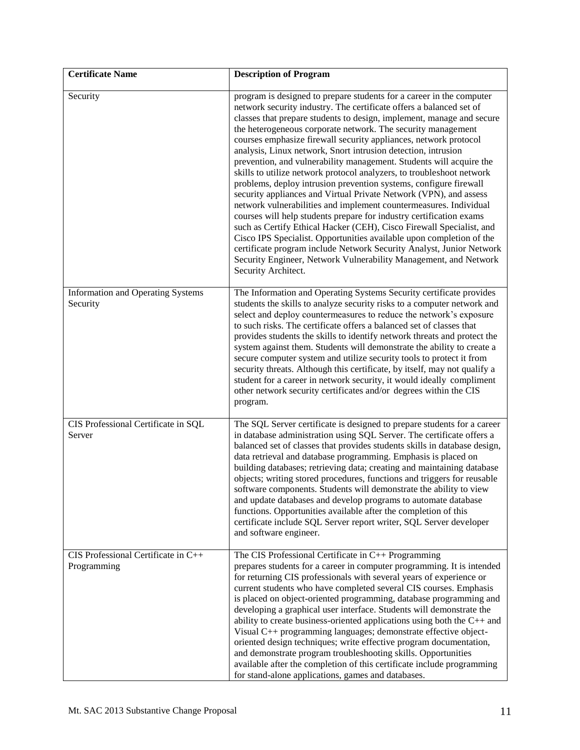| <b>Certificate Name</b>                              | <b>Description of Program</b>                                                                                                                                                                                                                                                                                                                                                                                                                                                                                                                                                                                                                                                                                                                                                                                                                                                                                                                                                                                                                                                                                                                                                      |
|------------------------------------------------------|------------------------------------------------------------------------------------------------------------------------------------------------------------------------------------------------------------------------------------------------------------------------------------------------------------------------------------------------------------------------------------------------------------------------------------------------------------------------------------------------------------------------------------------------------------------------------------------------------------------------------------------------------------------------------------------------------------------------------------------------------------------------------------------------------------------------------------------------------------------------------------------------------------------------------------------------------------------------------------------------------------------------------------------------------------------------------------------------------------------------------------------------------------------------------------|
| Security                                             | program is designed to prepare students for a career in the computer<br>network security industry. The certificate offers a balanced set of<br>classes that prepare students to design, implement, manage and secure<br>the heterogeneous corporate network. The security management<br>courses emphasize firewall security appliances, network protocol<br>analysis, Linux network, Snort intrusion detection, intrusion<br>prevention, and vulnerability management. Students will acquire the<br>skills to utilize network protocol analyzers, to troubleshoot network<br>problems, deploy intrusion prevention systems, configure firewall<br>security appliances and Virtual Private Network (VPN), and assess<br>network vulnerabilities and implement countermeasures. Individual<br>courses will help students prepare for industry certification exams<br>such as Certify Ethical Hacker (CEH), Cisco Firewall Specialist, and<br>Cisco IPS Specialist. Opportunities available upon completion of the<br>certificate program include Network Security Analyst, Junior Network<br>Security Engineer, Network Vulnerability Management, and Network<br>Security Architect. |
| <b>Information and Operating Systems</b><br>Security | The Information and Operating Systems Security certificate provides<br>students the skills to analyze security risks to a computer network and<br>select and deploy countermeasures to reduce the network's exposure<br>to such risks. The certificate offers a balanced set of classes that<br>provides students the skills to identify network threats and protect the<br>system against them. Students will demonstrate the ability to create a<br>secure computer system and utilize security tools to protect it from<br>security threats. Although this certificate, by itself, may not qualify a<br>student for a career in network security, it would ideally compliment<br>other network security certificates and/or degrees within the CIS<br>program.                                                                                                                                                                                                                                                                                                                                                                                                                  |
| CIS Professional Certificate in SQL<br>Server        | The SQL Server certificate is designed to prepare students for a career<br>in database administration using SQL Server. The certificate offers a<br>balanced set of classes that provides students skills in database design,<br>data retrieval and database programming. Emphasis is placed on<br>building databases; retrieving data; creating and maintaining database<br>objects; writing stored procedures, functions and triggers for reusable<br>software components. Students will demonstrate the ability to view<br>and update databases and develop programs to automate database<br>functions. Opportunities available after the completion of this<br>certificate include SQL Server report writer, SQL Server developer<br>and software engineer.                                                                                                                                                                                                                                                                                                                                                                                                                    |
| CIS Professional Certificate in C++<br>Programming   | The CIS Professional Certificate in C++ Programming<br>prepares students for a career in computer programming. It is intended<br>for returning CIS professionals with several years of experience or<br>current students who have completed several CIS courses. Emphasis<br>is placed on object-oriented programming, database programming and<br>developing a graphical user interface. Students will demonstrate the<br>ability to create business-oriented applications using both the $C++$ and<br>Visual C++ programming languages; demonstrate effective object-<br>oriented design techniques; write effective program documentation,<br>and demonstrate program troubleshooting skills. Opportunities<br>available after the completion of this certificate include programming<br>for stand-alone applications, games and databases.                                                                                                                                                                                                                                                                                                                                     |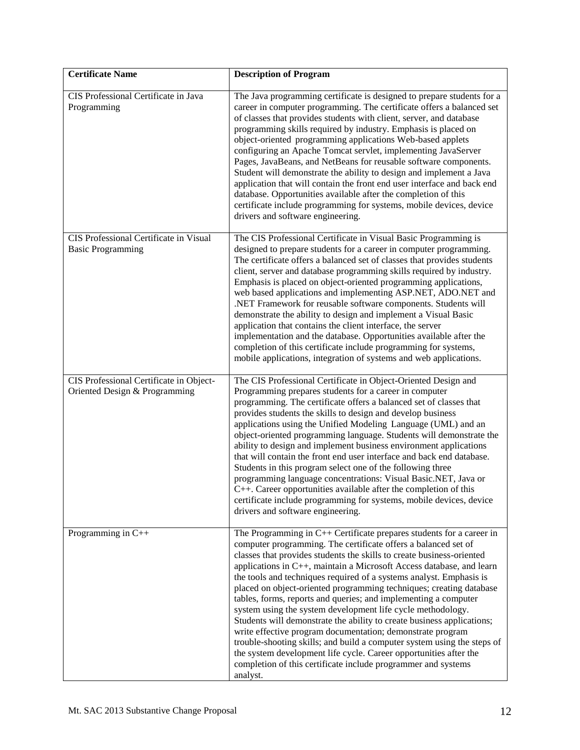| <b>Certificate Name</b>                                                  | <b>Description of Program</b>                                                                                                                                                                                                                                                                                                                                                                                                                                                                                                                                                                                                                                                                                                                                                                                                                                                                                                                  |
|--------------------------------------------------------------------------|------------------------------------------------------------------------------------------------------------------------------------------------------------------------------------------------------------------------------------------------------------------------------------------------------------------------------------------------------------------------------------------------------------------------------------------------------------------------------------------------------------------------------------------------------------------------------------------------------------------------------------------------------------------------------------------------------------------------------------------------------------------------------------------------------------------------------------------------------------------------------------------------------------------------------------------------|
| CIS Professional Certificate in Java<br>Programming                      | The Java programming certificate is designed to prepare students for a<br>career in computer programming. The certificate offers a balanced set<br>of classes that provides students with client, server, and database<br>programming skills required by industry. Emphasis is placed on<br>object-oriented programming applications Web-based applets<br>configuring an Apache Tomcat servlet, implementing JavaServer<br>Pages, JavaBeans, and NetBeans for reusable software components.<br>Student will demonstrate the ability to design and implement a Java<br>application that will contain the front end user interface and back end<br>database. Opportunities available after the completion of this<br>certificate include programming for systems, mobile devices, device<br>drivers and software engineering.                                                                                                                    |
| CIS Professional Certificate in Visual<br><b>Basic Programming</b>       | The CIS Professional Certificate in Visual Basic Programming is<br>designed to prepare students for a career in computer programming.<br>The certificate offers a balanced set of classes that provides students<br>client, server and database programming skills required by industry.<br>Emphasis is placed on object-oriented programming applications,<br>web based applications and implementing ASP.NET, ADO.NET and<br>.NET Framework for reusable software components. Students will<br>demonstrate the ability to design and implement a Visual Basic<br>application that contains the client interface, the server<br>implementation and the database. Opportunities available after the<br>completion of this certificate include programming for systems,<br>mobile applications, integration of systems and web applications.                                                                                                    |
| CIS Professional Certificate in Object-<br>Oriented Design & Programming | The CIS Professional Certificate in Object-Oriented Design and<br>Programming prepares students for a career in computer<br>programming. The certificate offers a balanced set of classes that<br>provides students the skills to design and develop business<br>applications using the Unified Modeling Language (UML) and an<br>object-oriented programming language. Students will demonstrate the<br>ability to design and implement business environment applications<br>that will contain the front end user interface and back end database.<br>Students in this program select one of the following three<br>programming language concentrations: Visual Basic.NET, Java or<br>$C++$ . Career opportunities available after the completion of this<br>certificate include programming for systems, mobile devices, device<br>drivers and software engineering.                                                                         |
| Programming in $C++$                                                     | The Programming in $C++$ Certificate prepares students for a career in<br>computer programming. The certificate offers a balanced set of<br>classes that provides students the skills to create business-oriented<br>applications in C++, maintain a Microsoft Access database, and learn<br>the tools and techniques required of a systems analyst. Emphasis is<br>placed on object-oriented programming techniques; creating database<br>tables, forms, reports and queries; and implementing a computer<br>system using the system development life cycle methodology.<br>Students will demonstrate the ability to create business applications;<br>write effective program documentation; demonstrate program<br>trouble-shooting skills; and build a computer system using the steps of<br>the system development life cycle. Career opportunities after the<br>completion of this certificate include programmer and systems<br>analyst. |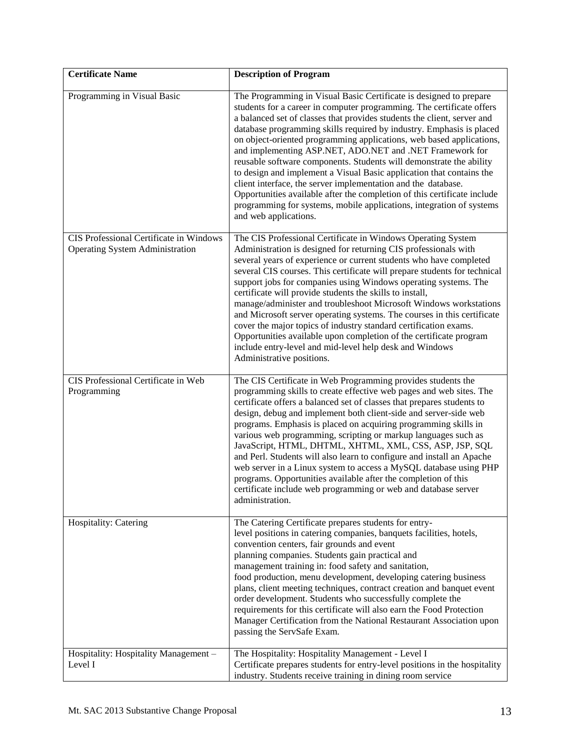| <b>Certificate Name</b>                                                           | <b>Description of Program</b>                                                                                                                                                                                                                                                                                                                                                                                                                                                                                                                                                                                                                                                                                                                                                                                                   |
|-----------------------------------------------------------------------------------|---------------------------------------------------------------------------------------------------------------------------------------------------------------------------------------------------------------------------------------------------------------------------------------------------------------------------------------------------------------------------------------------------------------------------------------------------------------------------------------------------------------------------------------------------------------------------------------------------------------------------------------------------------------------------------------------------------------------------------------------------------------------------------------------------------------------------------|
| Programming in Visual Basic                                                       | The Programming in Visual Basic Certificate is designed to prepare<br>students for a career in computer programming. The certificate offers<br>a balanced set of classes that provides students the client, server and<br>database programming skills required by industry. Emphasis is placed<br>on object-oriented programming applications, web based applications,<br>and implementing ASP.NET, ADO.NET and .NET Framework for<br>reusable software components. Students will demonstrate the ability<br>to design and implement a Visual Basic application that contains the<br>client interface, the server implementation and the database.<br>Opportunities available after the completion of this certificate include<br>programming for systems, mobile applications, integration of systems<br>and web applications. |
| CIS Professional Certificate in Windows<br><b>Operating System Administration</b> | The CIS Professional Certificate in Windows Operating System<br>Administration is designed for returning CIS professionals with<br>several years of experience or current students who have completed<br>several CIS courses. This certificate will prepare students for technical<br>support jobs for companies using Windows operating systems. The<br>certificate will provide students the skills to install,<br>manage/administer and troubleshoot Microsoft Windows workstations<br>and Microsoft server operating systems. The courses in this certificate<br>cover the major topics of industry standard certification exams.<br>Opportunities available upon completion of the certificate program<br>include entry-level and mid-level help desk and Windows<br>Administrative positions.                             |
| CIS Professional Certificate in Web<br>Programming                                | The CIS Certificate in Web Programming provides students the<br>programming skills to create effective web pages and web sites. The<br>certificate offers a balanced set of classes that prepares students to<br>design, debug and implement both client-side and server-side web<br>programs. Emphasis is placed on acquiring programming skills in<br>various web programming, scripting or markup languages such as<br>JavaScript, HTML, DHTML, XHTML, XML, CSS, ASP, JSP, SQL<br>and Perl. Students will also learn to configure and install an Apache<br>web server in a Linux system to access a MySQL database using PHP<br>programs. Opportunities available after the completion of this<br>certificate include web programming or web and database server<br>administration.                                          |
| Hospitality: Catering                                                             | The Catering Certificate prepares students for entry-<br>level positions in catering companies, banquets facilities, hotels,<br>convention centers, fair grounds and event<br>planning companies. Students gain practical and<br>management training in: food safety and sanitation,<br>food production, menu development, developing catering business<br>plans, client meeting techniques, contract creation and banquet event<br>order development. Students who successfully complete the<br>requirements for this certificate will also earn the Food Protection<br>Manager Certification from the National Restaurant Association upon<br>passing the ServSafe Exam.                                                                                                                                                      |
| Hospitality: Hospitality Management -<br>Level I                                  | The Hospitality: Hospitality Management - Level I<br>Certificate prepares students for entry-level positions in the hospitality<br>industry. Students receive training in dining room service                                                                                                                                                                                                                                                                                                                                                                                                                                                                                                                                                                                                                                   |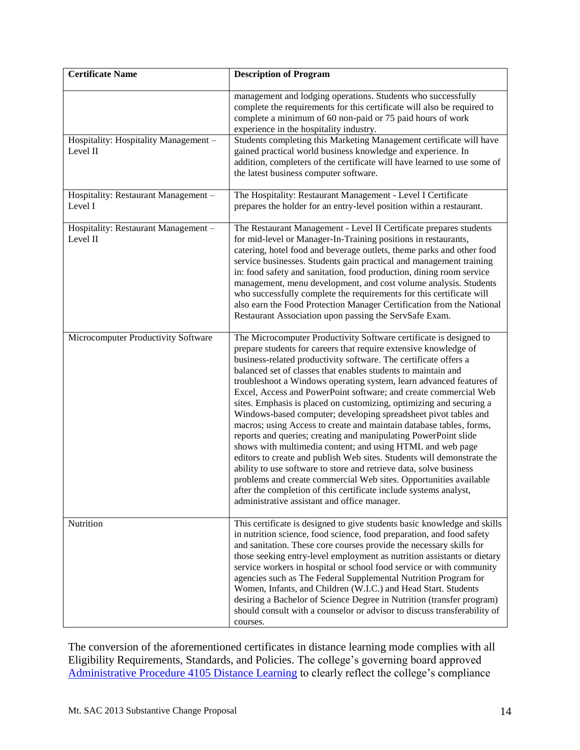| <b>Certificate Name</b>                           | <b>Description of Program</b>                                                                                                                                                                                                                                                                                                                                                                                                                                                                                                                                                                                                                                                                                                                                                                                                                                                                                                                                                                                                                                                                                      |
|---------------------------------------------------|--------------------------------------------------------------------------------------------------------------------------------------------------------------------------------------------------------------------------------------------------------------------------------------------------------------------------------------------------------------------------------------------------------------------------------------------------------------------------------------------------------------------------------------------------------------------------------------------------------------------------------------------------------------------------------------------------------------------------------------------------------------------------------------------------------------------------------------------------------------------------------------------------------------------------------------------------------------------------------------------------------------------------------------------------------------------------------------------------------------------|
|                                                   | management and lodging operations. Students who successfully<br>complete the requirements for this certificate will also be required to<br>complete a minimum of 60 non-paid or 75 paid hours of work<br>experience in the hospitality industry.                                                                                                                                                                                                                                                                                                                                                                                                                                                                                                                                                                                                                                                                                                                                                                                                                                                                   |
| Hospitality: Hospitality Management -<br>Level II | Students completing this Marketing Management certificate will have<br>gained practical world business knowledge and experience. In<br>addition, completers of the certificate will have learned to use some of<br>the latest business computer software.                                                                                                                                                                                                                                                                                                                                                                                                                                                                                                                                                                                                                                                                                                                                                                                                                                                          |
| Hospitality: Restaurant Management -<br>Level I   | The Hospitality: Restaurant Management - Level I Certificate<br>prepares the holder for an entry-level position within a restaurant.                                                                                                                                                                                                                                                                                                                                                                                                                                                                                                                                                                                                                                                                                                                                                                                                                                                                                                                                                                               |
| Hospitality: Restaurant Management -<br>Level II  | The Restaurant Management - Level II Certificate prepares students<br>for mid-level or Manager-In-Training positions in restaurants,<br>catering, hotel food and beverage outlets, theme parks and other food<br>service businesses. Students gain practical and management training<br>in: food safety and sanitation, food production, dining room service<br>management, menu development, and cost volume analysis. Students<br>who successfully complete the requirements for this certificate will<br>also earn the Food Protection Manager Certification from the National<br>Restaurant Association upon passing the ServSafe Exam.                                                                                                                                                                                                                                                                                                                                                                                                                                                                        |
| Microcomputer Productivity Software               | The Microcomputer Productivity Software certificate is designed to<br>prepare students for careers that require extensive knowledge of<br>business-related productivity software. The certificate offers a<br>balanced set of classes that enables students to maintain and<br>troubleshoot a Windows operating system, learn advanced features of<br>Excel, Access and PowerPoint software; and create commercial Web<br>sites. Emphasis is placed on customizing, optimizing and securing a<br>Windows-based computer; developing spreadsheet pivot tables and<br>macros; using Access to create and maintain database tables, forms,<br>reports and queries; creating and manipulating PowerPoint slide<br>shows with multimedia content; and using HTML and web page<br>editors to create and publish Web sites. Students will demonstrate the<br>ability to use software to store and retrieve data, solve business<br>problems and create commercial Web sites. Opportunities available<br>after the completion of this certificate include systems analyst,<br>administrative assistant and office manager. |
| Nutrition                                         | This certificate is designed to give students basic knowledge and skills<br>in nutrition science, food science, food preparation, and food safety<br>and sanitation. These core courses provide the necessary skills for<br>those seeking entry-level employment as nutrition assistants or dietary<br>service workers in hospital or school food service or with community<br>agencies such as The Federal Supplemental Nutrition Program for<br>Women, Infants, and Children (W.I.C.) and Head Start. Students<br>desiring a Bachelor of Science Degree in Nutrition (transfer program)<br>should consult with a counselor or advisor to discuss transferability of<br>courses.                                                                                                                                                                                                                                                                                                                                                                                                                                  |

The conversion of the aforementioned certificates in distance learning mode complies with all Eligibility Requirements, Standards, and Policies. The college's governing board approved [Administrative Procedure 4105 Distance Learning](http://www.mtsac.edu/instruction/learning/dlc/docs/AP%204105%20PDF%20from%20College%20AP%20Link%20May%202013.pdf) to clearly reflect the college's compliance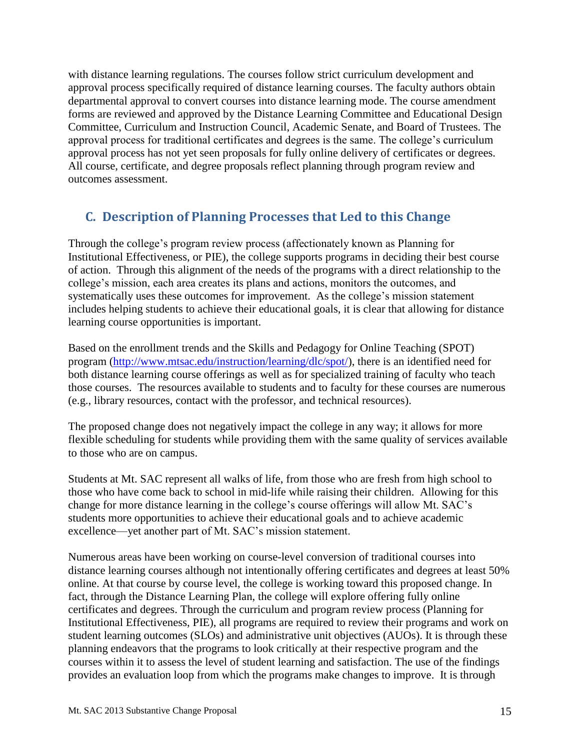with distance learning regulations. The courses follow strict curriculum development and approval process specifically required of distance learning courses. The faculty authors obtain departmental approval to convert courses into distance learning mode. The course amendment forms are reviewed and approved by the Distance Learning Committee and Educational Design Committee, Curriculum and Instruction Council, Academic Senate, and Board of Trustees. The approval process for traditional certificates and degrees is the same. The college's curriculum approval process has not yet seen proposals for fully online delivery of certificates or degrees. All course, certificate, and degree proposals reflect planning through program review and outcomes assessment.

# <span id="page-14-0"></span> **C. Description of Planning Processes that Led to this Change**

 Institutional Effectiveness, or PIE), the college supports programs in deciding their best course includes helping students to achieve their educational goals, it is clear that allowing for distance Through the college's program review process (affectionately known as Planning for of action. Through this alignment of the needs of the programs with a direct relationship to the college's mission, each area creates its plans and actions, monitors the outcomes, and systematically uses these outcomes for improvement. As the college's mission statement learning course opportunities is important.

program [\(http://www.mtsac.edu/instruction/learning/dlc/spot/\)](http://www.mtsac.edu/instruction/learning/dlc/spot/), there is an identified need for those courses. The resources available to students and to faculty for these courses are numerous (e.g., library resources, contact with the professor, and technical resources). Based on the enrollment trends and the Skills and Pedagogy for Online Teaching (SPOT) both distance learning course offerings as well as for specialized training of faculty who teach

 The proposed change does not negatively impact the college in any way; it allows for more flexible scheduling for students while providing them with the same quality of services available to those who are on campus.

 change for more distance learning in the college's course offerings will allow Mt. SAC's Students at Mt. SAC represent all walks of life, from those who are fresh from high school to those who have come back to school in mid-life while raising their children. Allowing for this students more opportunities to achieve their educational goals and to achieve academic excellence—yet another part of Mt. SAC's mission statement.

 fact, through the Distance Learning Plan, the college will explore offering fully online Numerous areas have been working on course-level conversion of traditional courses into distance learning courses although not intentionally offering certificates and degrees at least 50% online. At that course by course level, the college is working toward this proposed change. In certificates and degrees. Through the curriculum and program review process (Planning for Institutional Effectiveness, PIE), all programs are required to review their programs and work on student learning outcomes (SLOs) and administrative unit objectives (AUOs). It is through these planning endeavors that the programs to look critically at their respective program and the courses within it to assess the level of student learning and satisfaction. The use of the findings provides an evaluation loop from which the programs make changes to improve. It is through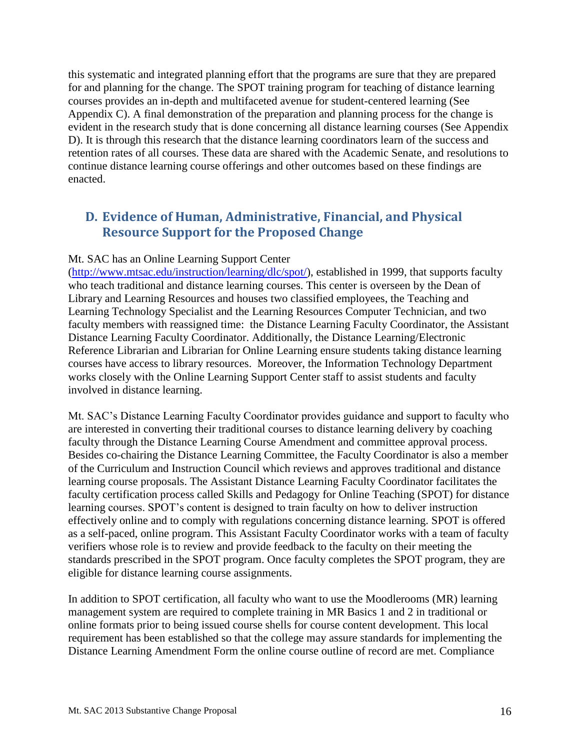courses provides an in-depth and multifaceted avenue for student-centered learning (See evident in the research study that is done concerning all distance learning courses (See Appendix this systematic and integrated planning effort that the programs are sure that they are prepared for and planning for the change. The SPOT training program for teaching of distance learning Appendix C). A final demonstration of the preparation and planning process for the change is D). It is through this research that the distance learning coordinators learn of the success and retention rates of all courses. These data are shared with the Academic Senate, and resolutions to continue distance learning course offerings and other outcomes based on these findings are enacted.

## <span id="page-15-0"></span>**D. Evidence of Human, Administrative, Financial, and Physical Resource Support for the Proposed Change**

#### Mt. SAC has an Online Learning Support Center

 who teach traditional and distance learning courses. This center is overseen by the Dean of faculty members with reassigned time: the Distance Learning Faculty Coordinator, the Assistant Reference Librarian and Librarian for Online Learning ensure students taking distance learning [\(http://www.mtsac.edu/instruction/learning/dlc/spot/\)](http://www.mtsac.edu/instruction/learning/dlc/spot/), established in 1999, that supports faculty Library and Learning Resources and houses two classified employees, the Teaching and Learning Technology Specialist and the Learning Resources Computer Technician, and two Distance Learning Faculty Coordinator. Additionally, the Distance Learning/Electronic courses have access to library resources. Moreover, the Information Technology Department works closely with the Online Learning Support Center staff to assist students and faculty involved in distance learning.

 are interested in converting their traditional courses to distance learning delivery by coaching Besides co-chairing the Distance Learning Committee, the Faculty Coordinator is also a member of the Curriculum and Instruction Council which reviews and approves traditional and distance learning course proposals. The Assistant Distance Learning Faculty Coordinator facilitates the standards prescribed in the SPOT program. Once faculty completes the SPOT program, they are Mt. SAC's Distance Learning Faculty Coordinator provides guidance and support to faculty who faculty through the Distance Learning Course Amendment and committee approval process. faculty certification process called Skills and Pedagogy for Online Teaching (SPOT) for distance learning courses. SPOT's content is designed to train faculty on how to deliver instruction effectively online and to comply with regulations concerning distance learning. SPOT is offered as a self-paced, online program. This Assistant Faculty Coordinator works with a team of faculty verifiers whose role is to review and provide feedback to the faculty on their meeting the eligible for distance learning course assignments.

 management system are required to complete training in MR Basics 1 and 2 in traditional or In addition to SPOT certification, all faculty who want to use the Moodlerooms (MR) learning online formats prior to being issued course shells for course content development. This local requirement has been established so that the college may assure standards for implementing the Distance Learning Amendment Form the online course outline of record are met. Compliance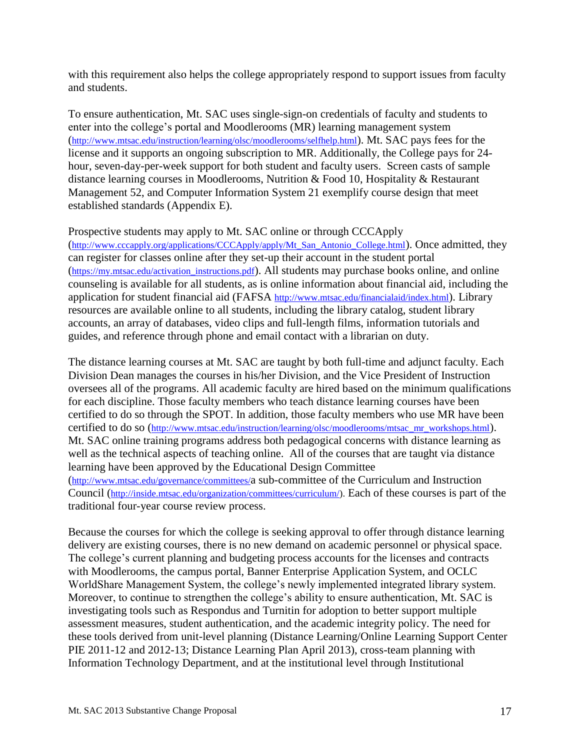with this requirement also helps the college appropriately respond to support issues from faculty and students.

 To ensure authentication, Mt. SAC uses single-sign-on credentials of faculty and students to distance learning courses in Moodlerooms, Nutrition & Food 10, Hospitality & Restaurant Management 52, and Computer Information System 21 exemplify course design that meet established standards (Appendix E). enter into the college's portal and Moodlerooms (MR) learning management system [\(http://www.mtsac.edu/instruction/learning/olsc/moodlerooms/selfhelp.html\)](http://www.mtsac.edu/instruction/learning/olsc/moodlerooms/selfhelp.html). Mt. SAC pays fees for the license and it supports an ongoing subscription to MR. Additionally, the College pays for 24hour, seven-day-per-week support for both student and faculty users. Screen casts of sample

#### Prospective students may apply to Mt. SAC online or through CCCApply

[\(http://www.cccapply.org/applications/CCCApply/apply/Mt\\_San\\_Antonio\\_College.html\)](http://www.cccapply.org/applications/CCCApply/apply/Mt_San_Antonio_College.html). Once admitted, they counseling is available for all students, as is online information about financial aid, including the can register for classes online after they set-up their account in the student portal [\(https://my.mtsac.edu/activation\\_instructions.pdf\)](https://my.mtsac.edu/activation_instructions.pdf). All students may purchase books online, and online application for student financial aid (FAFSA [http://www.mtsac.edu/financialaid/index.html\)](http://www.mtsac.edu/financialaid/index.html). Library resources are available online to all students, including the library catalog, student library accounts, an array of databases, video clips and full-length films, information tutorials and guides, and reference through phone and email contact with a librarian on duty.

 certified to do so through the SPOT. In addition, those faculty members who use MR have been well as the technical aspects of teaching online. All of the courses that are taught via distance The distance learning courses at Mt. SAC are taught by both full-time and adjunct faculty. Each Division Dean manages the courses in his/her Division, and the Vice President of Instruction oversees all of the programs. All academic faculty are hired based on the minimum qualifications for each discipline. Those faculty members who teach distance learning courses have been certified to do so [\(http://www.mtsac.edu/instruction/learning/olsc/moodlerooms/mtsac\\_mr\\_workshops.html\)](http://www.mtsac.edu/instruction/learning/olsc/moodlerooms/mtsac_mr_workshops.html). Mt. SAC online training programs address both pedagogical concerns with distance learning as learning have been approved by the Educational Design Committee [\(http://www.mtsac.edu/governance/committees/a](http://www.mtsac.edu/governance/committees/) sub-committee of the Curriculum and Instruction Council [\(http://inside.mtsac.edu/organization/committees/curriculum/\)](http://inside.mtsac.edu/organization/committees/curriculum/). Each of these courses is part of the traditional four-year course review process.

 Because the courses for which the college is seeking approval to offer through distance learning these tools derived from unit-level planning (Distance Learning/Online Learning Support Center delivery are existing courses, there is no new demand on academic personnel or physical space. The college's current planning and budgeting process accounts for the licenses and contracts with Moodlerooms, the campus portal, Banner Enterprise Application System, and OCLC WorldShare Management System, the college's newly implemented integrated library system. Moreover, to continue to strengthen the college's ability to ensure authentication, Mt. SAC is investigating tools such as Respondus and Turnitin for adoption to better support multiple assessment measures, student authentication, and the academic integrity policy. The need for PIE 2011-12 and 2012-13; Distance Learning Plan April 2013), cross-team planning with Information Technology Department, and at the institutional level through Institutional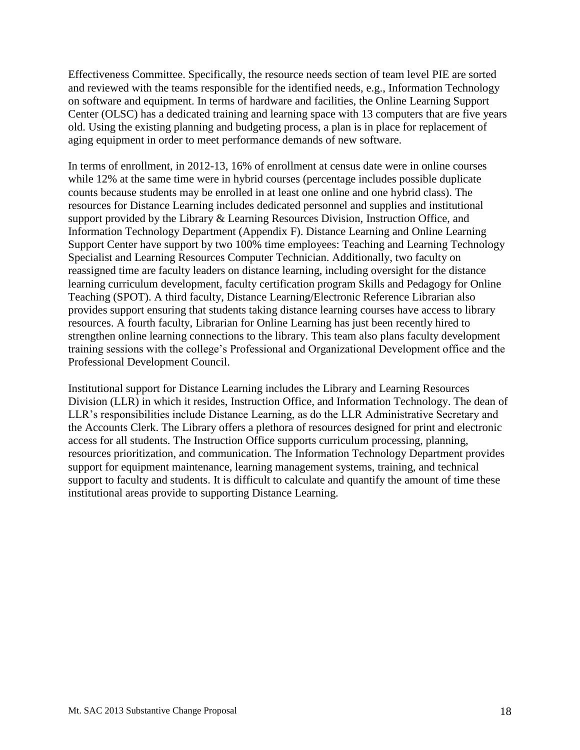Center (OLSC) has a dedicated training and learning space with 13 computers that are five years Effectiveness Committee. Specifically, the resource needs section of team level PIE are sorted and reviewed with the teams responsible for the identified needs, e.g., Information Technology on software and equipment. In terms of hardware and facilities, the Online Learning Support old. Using the existing planning and budgeting process, a plan is in place for replacement of aging equipment in order to meet performance demands of new software.

 support provided by the Library & Learning Resources Division, Instruction Office, and Information Technology Department (Appendix F). Distance Learning and Online Learning In terms of enrollment, in 2012-13, 16% of enrollment at census date were in online courses while 12% at the same time were in hybrid courses (percentage includes possible duplicate counts because students may be enrolled in at least one online and one hybrid class). The resources for Distance Learning includes dedicated personnel and supplies and institutional Support Center have support by two 100% time employees: Teaching and Learning Technology Specialist and Learning Resources Computer Technician. Additionally, two faculty on reassigned time are faculty leaders on distance learning, including oversight for the distance learning curriculum development, faculty certification program Skills and Pedagogy for Online Teaching (SPOT). A third faculty, Distance Learning/Electronic Reference Librarian also provides support ensuring that students taking distance learning courses have access to library resources. A fourth faculty, Librarian for Online Learning has just been recently hired to strengthen online learning connections to the library. This team also plans faculty development training sessions with the college's Professional and Organizational Development office and the Professional Development Council.

 Institutional support for Distance Learning includes the Library and Learning Resources LLR's responsibilities include Distance Learning, as do the LLR Administrative Secretary and institutional areas provide to supporting Distance Learning. Division (LLR) in which it resides, Instruction Office, and Information Technology. The dean of the Accounts Clerk. The Library offers a plethora of resources designed for print and electronic access for all students. The Instruction Office supports curriculum processing, planning, resources prioritization, and communication. The Information Technology Department provides support for equipment maintenance, learning management systems, training, and technical support to faculty and students. It is difficult to calculate and quantify the amount of time these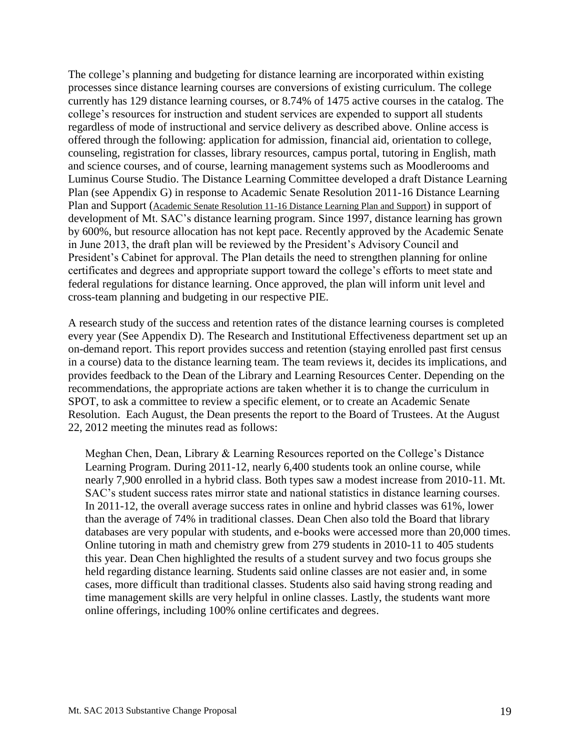currently has 129 distance learning courses, or 8.74% of 1475 active courses in the catalog. The Luminus Course Studio. The Distance Learning Committee developed a draft Distance Learning Plan (see Appendix G) in response to Academic Senate Resolution 2011-16 Distance Learning Plan and Support [\(Academic Senate Resolution 11-16 Distance Learning Plan and Support\)](http://www.mtsac.edu/administration/senates/academic/uploads/11_16_Distance_Learning_Plan_and_Support.pdf) in support of The college's planning and budgeting for distance learning are incorporated within existing processes since distance learning courses are conversions of existing curriculum. The college college's resources for instruction and student services are expended to support all students regardless of mode of instructional and service delivery as described above. Online access is offered through the following: application for admission, financial aid, orientation to college, counseling, registration for classes, library resources, campus portal, tutoring in English, math and science courses, and of course, learning management systems such as Moodlerooms and development of Mt. SAC's distance learning program. Since 1997, distance learning has grown by 600%, but resource allocation has not kept pace. Recently approved by the Academic Senate in June 2013, the draft plan will be reviewed by the President's Advisory Council and President's Cabinet for approval. The Plan details the need to strengthen planning for online certificates and degrees and appropriate support toward the college's efforts to meet state and federal regulations for distance learning. Once approved, the plan will inform unit level and cross-team planning and budgeting in our respective PIE.

 A research study of the success and retention rates of the distance learning courses is completed on-demand report. This report provides success and retention (staying enrolled past first census in a course) data to the distance learning team. The team reviews it, decides its implications, and provides feedback to the Dean of the Library and Learning Resources Center. Depending on the recommendations, the appropriate actions are taken whether it is to change the curriculum in every year (See Appendix D). The Research and Institutional Effectiveness department set up an SPOT, to ask a committee to review a specific element, or to create an Academic Senate Resolution. Each August, the Dean presents the report to the Board of Trustees. At the August 22, 2012 meeting the minutes read as follows:

 Meghan Chen, Dean, Library & Learning Resources reported on the College's Distance Learning Program. During 2011-12, nearly 6,400 students took an online course, while nearly 7,900 enrolled in a hybrid class. Both types saw a modest increase from 2010-11. Mt. SAC's student success rates mirror state and national statistics in distance learning courses. In 2011-12, the overall average success rates in online and hybrid classes was 61%, lower than the average of 74% in traditional classes. Dean Chen also told the Board that library databases are very popular with students, and e-books were accessed more than 20,000 times. Online tutoring in math and chemistry grew from 279 students in 2010-11 to 405 students this year. Dean Chen highlighted the results of a student survey and two focus groups she held regarding distance learning. Students said online classes are not easier and, in some cases, more difficult than traditional classes. Students also said having strong reading and time management skills are very helpful in online classes. Lastly, the students want more online offerings, including 100% online certificates and degrees.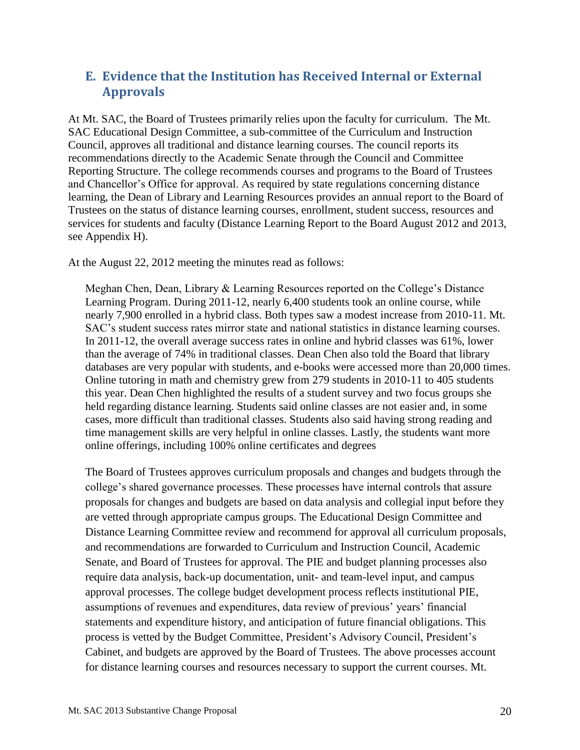# <span id="page-19-0"></span>**E. Evidence that the Institution has Received Internal or External Approvals**

 and Chancellor's Office for approval. As required by state regulations concerning distance At Mt. SAC, the Board of Trustees primarily relies upon the faculty for curriculum. The Mt. SAC Educational Design Committee, a sub-committee of the Curriculum and Instruction Council, approves all traditional and distance learning courses. The council reports its recommendations directly to the Academic Senate through the Council and Committee Reporting Structure. The college recommends courses and programs to the Board of Trustees learning, the Dean of Library and Learning Resources provides an annual report to the Board of Trustees on the status of distance learning courses, enrollment, student success, resources and services for students and faculty (Distance Learning Report to the Board August 2012 and 2013, see Appendix H).

At the August 22, 2012 meeting the minutes read as follows:

 Meghan Chen, Dean, Library & Learning Resources reported on the College's Distance Learning Program. During 2011-12, nearly 6,400 students took an online course, while nearly 7,900 enrolled in a hybrid class. Both types saw a modest increase from 2010-11. Mt. SAC's student success rates mirror state and national statistics in distance learning courses. In 2011-12, the overall average success rates in online and hybrid classes was 61%, lower than the average of 74% in traditional classes. Dean Chen also told the Board that library databases are very popular with students, and e-books were accessed more than 20,000 times. Online tutoring in math and chemistry grew from 279 students in 2010-11 to 405 students this year. Dean Chen highlighted the results of a student survey and two focus groups she held regarding distance learning. Students said online classes are not easier and, in some cases, more difficult than traditional classes. Students also said having strong reading and time management skills are very helpful in online classes. Lastly, the students want more online offerings, including 100% online certificates and degrees

 Cabinet, and budgets are approved by the Board of Trustees. The above processes account The Board of Trustees approves curriculum proposals and changes and budgets through the college's shared governance processes. These processes have internal controls that assure proposals for changes and budgets are based on data analysis and collegial input before they are vetted through appropriate campus groups. The Educational Design Committee and Distance Learning Committee review and recommend for approval all curriculum proposals, and recommendations are forwarded to Curriculum and Instruction Council, Academic Senate, and Board of Trustees for approval. The PIE and budget planning processes also require data analysis, back-up documentation, unit- and team-level input, and campus approval processes. The college budget development process reflects institutional PIE, assumptions of revenues and expenditures, data review of previous' years' financial statements and expenditure history, and anticipation of future financial obligations. This process is vetted by the Budget Committee, President's Advisory Council, President's for distance learning courses and resources necessary to support the current courses. Mt.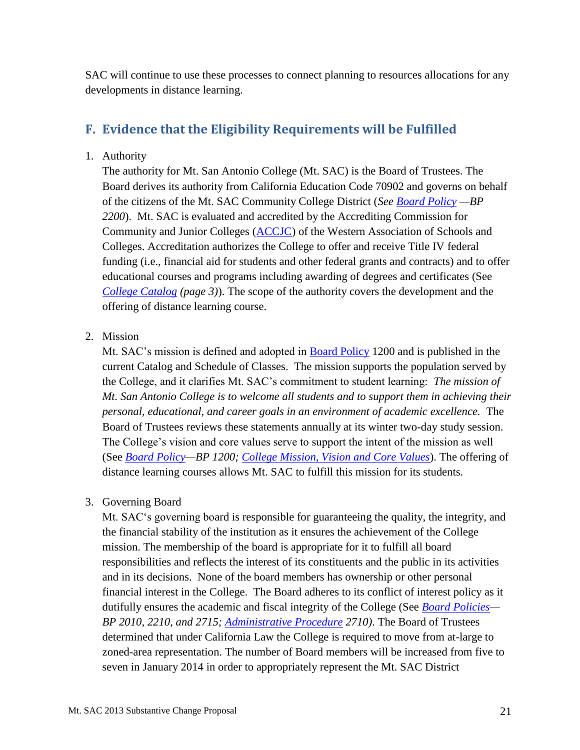SAC will continue to use these processes to connect planning to resources allocations for any developments in distance learning.

# <span id="page-20-0"></span>**F. Evidence that the Eligibility Requirements will be Fulfilled**

1. Authority

 *[College Catalog](http://www.mtsac.edu/catalog/2012/2012-13_catalog.pdf) (page 3)*). The scope of the authority covers the development and the offering of distance learning course. The authority for Mt. San Antonio College (Mt. SAC) is the Board of Trustees. The Board derives its authority from California Education Code 70902 and governs on behalf of the citizens of the Mt. SAC Community College District (*See [Board Policy](http://www.mtsac.edu/governance/trustees/policies.html) —BP 2200*). Mt. SAC is evaluated and accredited by the Accrediting Commission for Community and Junior Colleges [\(ACCJC\)](http://www.accjc.org/wp-content/uploads/2013/03/Twelve-Common-Questions-and-Answers-About-Regional-Accreditation_rev-3_11-131.pdf) of the Western Association of Schools and Colleges. Accreditation authorizes the College to offer and receive Title IV federal funding (i.e., financial aid for students and other federal grants and contracts) and to offer educational courses and programs including awarding of degrees and certificates (See

2. Mission

 *personal, educational, and career goals in an environment of academic excellence.* The Mt. SAC's mission is defined and adopted in [Board Policy](http://www.mtsac.edu/governance/trustees/policies.html) 1200 and is published in the current Catalog and Schedule of Classes. The mission supports the population served by the College, and it clarifies Mt. SAC's commitment to student learning: *The mission of Mt. San Antonio College is to welcome all students and to support them in achieving their*  Board of Trustees reviews these statements annually at its winter two-day study session. The College's vision and core values serve to support the intent of the mission as well (See *[Board Policy—](http://www.mtsac.edu/governance/trustees/policies.html)BP 1200; [College Mission, Vision and Core Values](http://www.mtsac.edu/about/mission.html)*). The offering of distance learning courses allows Mt. SAC to fulfill this mission for its students.

3. Governing Board

Mt. SAC's governing board is responsible for guaranteeing the quality, the integrity, and the financial stability of the institution as it ensures the achievement of the College mission. The membership of the board is appropriate for it to fulfill all board responsibilities and reflects the interest of its constituents and the public in its activities and in its decisions. None of the board members has ownership or other personal financial interest in the College. The Board adheres to its conflict of interest policy as it dutifully ensures the academic and fiscal integrity of the College (See *[Board Policies—](http://www.mtsac.edu/governance/trustees/policies.html) BP 2010, 2210, and 2715; [Administrative Procedure](http://www.mtsac.edu/governance/trustees/policies.html) 2710)*. The Board of Trustees determined that under California Law the College is required to move from at-large to zoned-area representation. The number of Board members will be increased from five to seven in January 2014 in order to appropriately represent the Mt. SAC District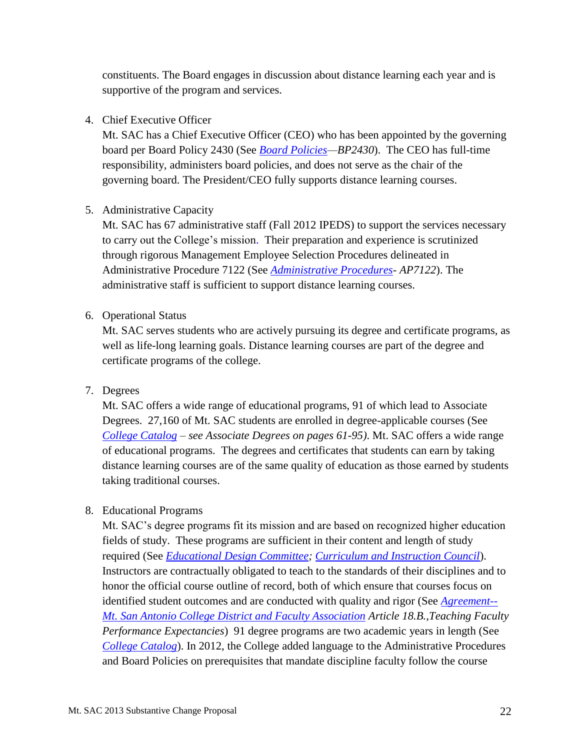constituents. The Board engages in discussion about distance learning each year and is supportive of the program and services.

#### 4. Chief Executive Officer

 governing board. The President/CEO fully supports distance learning courses. Mt. SAC has a Chief Executive Officer (CEO) who has been appointed by the governing board per Board Policy 2430 (See *[Board Policies—](http://www.mtsac.edu/governance/trustees/policies.html)BP2430*). The CEO has full-time responsibility, administers board policies, and does not serve as the chair of the

#### 5. Administrative Capacity

 to carry out the College's mission. Their preparation and experience is scrutinized Administrative Procedure 7122 (See *[Administrative Procedures-](http://www.mtsac.edu/governance/trustees/policies.html) AP7122*). The Mt. SAC has 67 administrative staff (Fall 2012 IPEDS) to support the services necessary through rigorous Management Employee Selection Procedures delineated in administrative staff is sufficient to support distance learning courses.

#### 6. Operational Status

Mt. SAC serves students who are actively pursuing its degree and certificate programs, as well as life-long learning goals. Distance learning courses are part of the degree and certificate programs of the college.

#### 7. Degrees

 *[College Catalog](http://www.mtsac.edu/catalog/2012/2012-13_catalog.pdf) – see Associate Degrees on pages 61-95)*. Mt. SAC offers a wide range Mt. SAC offers a wide range of educational programs, 91 of which lead to Associate Degrees. 27,160 of Mt. SAC students are enrolled in degree-applicable courses (See of educational programs. The degrees and certificates that students can earn by taking distance learning courses are of the same quality of education as those earned by students taking traditional courses.

#### 8. Educational Programs

Mt. SAC's degree programs fit its mission and are based on recognized higher education fields of study. These programs are sufficient in their content and length of study required (See *[Educational Design Committee;](http://www.mtsac.edu/governance/committees/eddesign/) [Curriculum and Instruction Council](http://www.mtsac.edu/governance/committees/curriculum/)*). Instructors are contractually obligated to teach to the standards of their disciplines and to honor the official course outline of record, both of which ensure that courses focus on identified student outcomes and are conducted with quality and rigor (See *[Agreement--](http://inside.mtsac.edu/departments/admin/personnel/faculty/2011-14_Faculty_year2.pdf) [Mt. San Antonio College District and Faculty Association](http://inside.mtsac.edu/departments/admin/personnel/faculty/2011-14_Faculty_year2.pdf) Article 18.B.,Teaching Faculty Performance Expectancies*) 91 degree programs are two academic years in length (See *[College Catalog](http://www.mtsac.edu/catalog/2012/2012-13_catalog.pdf)*). In 2012, the College added language to the Administrative Procedures and Board Policies on prerequisites that mandate discipline faculty follow the course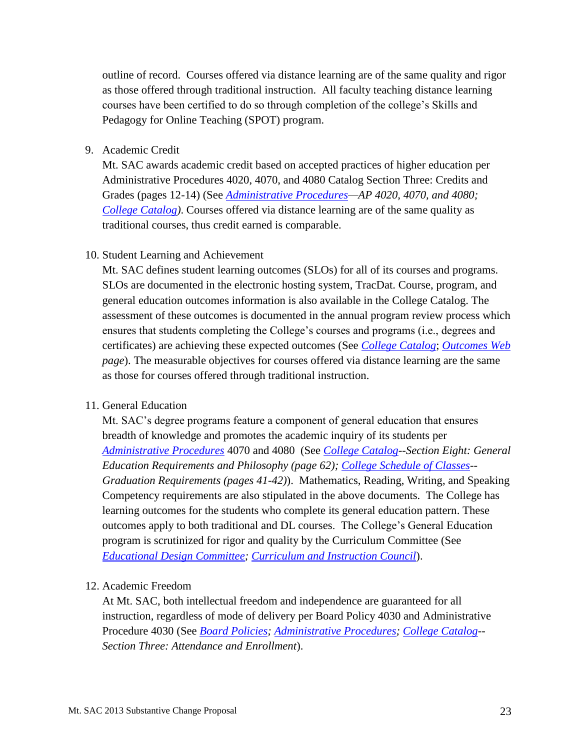outline of record. Courses offered via distance learning are of the same quality and rigor as those offered through traditional instruction. All faculty teaching distance learning courses have been certified to do so through completion of the college's Skills and Pedagogy for Online Teaching (SPOT) program.

9. Academic Credit

Mt. SAC awards academic credit based on accepted practices of higher education per Administrative Procedures 4020, 4070, and 4080 Catalog Section Three: Credits and Grades (pages 12-14) (See *[Administrative Procedures—](http://www.mtsac.edu/governance/trustees/policies.html)AP 4020, 4070, and 4080; [College Catalog\)](http://www.mtsac.edu/catalog/2012/2012-13_catalog.pdf)*. Courses offered via distance learning are of the same quality as traditional courses, thus credit earned is comparable.

#### 10. Student Learning and Achievement

 *page*). The measurable objectives for courses offered via distance learning are the same as those for courses offered through traditional instruction. 11. General Education Mt. SAC defines student learning outcomes (SLOs) for all of its courses and programs. SLOs are documented in the electronic hosting system, TracDat. Course, program, and general education outcomes information is also available in the College Catalog. The assessment of these outcomes is documented in the annual program review process which ensures that students completing the College's courses and programs (i.e., degrees and certificates) are achieving these expected outcomes (See *[College Catalog](http://www.mtsac.edu/catalog/2012/2012-13_catalog.pdf)*; *[Outcomes Web](http://www.mtsac.edu/instruction/outcomes/)* 

Mt. SAC's degree programs feature a component of general education that ensures breadth of knowledge and promotes the academic inquiry of its students per *[Administrative Procedures](http://www.mtsac.edu/governance/trustees/policies.html)* 4070 and 4080 (See *[College Catalog-](http://www.mtsac.edu/catalog/2012/2012-13_catalog.pdf)-Section Eight: General Education Requirements and Philosophy (page 62); [College Schedule of Classes-](http://www.mtsac.edu/schedule/2013_Spring_Schedule.pdf)- Graduation Requirements (pages 41-42)*). Mathematics, Reading, Writing, and Speaking Competency requirements are also stipulated in the above documents. The College has learning outcomes for the students who complete its general education pattern. These outcomes apply to both traditional and DL courses. The College's General Education program is scrutinized for rigor and quality by the Curriculum Committee (See *[Educational Design Committee;](http://www.mtsac.edu/governance/committees/eddesign/) [Curriculum and Instruction Council](http://www.mtsac.edu/governance/committees/curriculum/)*).

#### 12. Academic Freedom

 At Mt. SAC, both intellectual freedom and independence are guaranteed for all instruction, regardless of mode of delivery per Board Policy 4030 and Administrative Procedure 4030 (See *[Board Policies; Administrative Procedures;](http://www.mtsac.edu/governance/trustees/policies.html) [College Catalog-](http://www.mtsac.edu/catalog/2012/2012-13_catalog.pdf)- Section Three: Attendance and Enrollment*).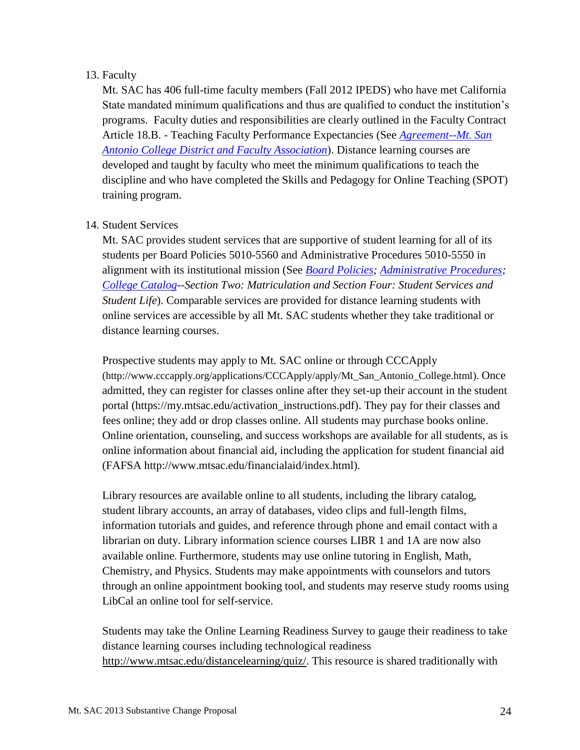#### 13. Faculty

 Article 18.B. - Teaching Faculty Performance Expectancies (See *[Agreement--Mt. San](http://inside.mtsac.edu/departments/admin/personnel/faculty/2011-14_Faculty_year2.pdf)  [Antonio College District and Faculty Association](http://inside.mtsac.edu/departments/admin/personnel/faculty/2011-14_Faculty_year2.pdf)*). Distance learning courses are Mt. SAC has 406 full-time faculty members (Fall 2012 IPEDS) who have met California State mandated minimum qualifications and thus are qualified to conduct the institution's programs. Faculty duties and responsibilities are clearly outlined in the Faculty Contract developed and taught by faculty who meet the minimum qualifications to teach the discipline and who have completed the Skills and Pedagogy for Online Teaching (SPOT) training program.

#### 14. Student Services

 *Student Life*). Comparable services are provided for distance learning students with online services are accessible by all Mt. SAC students whether they take traditional or distance learning courses. Mt. SAC provides student services that are supportive of student learning for all of its students per Board Policies 5010-5560 and Administrative Procedures 5010-5550 in alignment with its institutional mission (See *[Board Policies; Administrative Procedures;](http://www.mtsac.edu/governance/trustees/policies.html) [College Catalog-](http://www.mtsac.edu/catalog/2012/2012-13_catalog.pdf)-Section Two: Matriculation and Section Four: Student Services and* 

 Online orientation, counseling, and success workshops are available for all students, as is Prospective students may apply to Mt. SAC online or through CCCApply [\(http://www.cccapply.org/applications/CCCApply/apply/Mt\\_San\\_Antonio\\_College.html\)](http://www.cccapply.org/applications/CCCApply/apply/Mt_San_Antonio_College.html). Once admitted, they can register for classes online after they set-up their account in the student portal [\(https://my.mtsac.edu/activation\\_instructions.pdf\)](https://my.mtsac.edu/activation_instructions.pdf). They pay for their classes and fees online; they add or drop classes online. All students may purchase books online. online information about financial aid, including the application for student financial aid (FAFSA [http://www.mtsac.edu/financialaid/index.html\)](http://www.mtsac.edu/financialaid/index.html).

 through an online appointment booking tool, and students may reserve study rooms using Library resources are available online to all students, including the library catalog, student library accounts, an array of databases, video clips and full-length films, information tutorials and guides, and reference through phone and email contact with a librarian on duty. Library information science courses LIBR 1 and 1A are now also available online. Furthermore, students may use online tutoring in English, Math, Chemistry, and Physics. Students may make appointments with counselors and tutors LibCal an online tool for self-service.

Students may take the Online Learning Readiness Survey to gauge their readiness to take distance learning courses including technological readiness [http://www.mtsac.edu/distancelearning/quiz/.](http://www.mtsac.edu/distancelearning/quiz/) This resource is shared traditionally with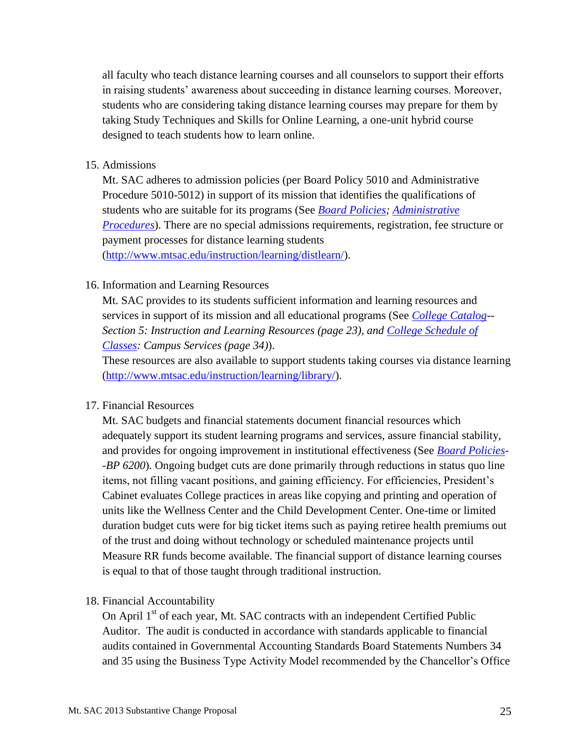students who are considering taking distance learning courses may prepare for them by all faculty who teach distance learning courses and all counselors to support their efforts in raising students' awareness about succeeding in distance learning courses. Moreover, taking Study Techniques and Skills for Online Learning, a one-unit hybrid course designed to teach students how to learn online.

#### 15. Admissions

 payment processes for distance learning students Mt. SAC adheres to admission policies (per Board Policy 5010 and Administrative Procedure 5010-5012) in support of its mission that identifies the qualifications of students who are suitable for its programs (See *[Board Policies; Administrative](http://www.mtsac.edu/governance/trustees/policies.html)  [Procedures](http://www.mtsac.edu/governance/trustees/policies.html)*). There are no special admissions requirements, registration, fee structure or

[\(http://www.mtsac.edu/instruction/learning/distlearn/\)](http://www.mtsac.edu/instruction/learning/distlearn/).

#### 16. Information and Learning Resources

Mt. SAC provides to its students sufficient information and learning resources and services in support of its mission and all educational programs (See *[College Catalog-](http://www.mtsac.edu/catalog/2012/2012-13_catalog.pdf)- Section 5: Instruction and Learning Resources (page 23), and [College Schedule of](http://www.mtsac.edu/schedule/spring.html)  [Classes:](http://www.mtsac.edu/schedule/spring.html) Campus Services (page 34)*).

 These resources are also available to support students taking courses via distance learning [\(http://www.mtsac.edu/instruction/learning/library/\)](http://www.mtsac.edu/instruction/learning/library/).

#### 17. Financial Resources

Mt. SAC budgets and financial statements document financial resources which adequately support its student learning programs and services, assure financial stability, and provides for ongoing improvement in institutional effectiveness (See *[Board Policies-](http://www.mtsac.edu/governance/trustees/policies.html) -BP 6200*). Ongoing budget cuts are done primarily through reductions in status quo line items, not filling vacant positions, and gaining efficiency. For efficiencies, President's Cabinet evaluates College practices in areas like copying and printing and operation of units like the Wellness Center and the Child Development Center. One-time or limited duration budget cuts were for big ticket items such as paying retiree health premiums out of the trust and doing without technology or scheduled maintenance projects until Measure RR funds become available. The financial support of distance learning courses is equal to that of those taught through traditional instruction.

#### 18. Financial Accountability

On April 1<sup>st</sup> of each year, Mt. SAC contracts with an independent Certified Public Auditor. The audit is conducted in accordance with standards applicable to financial audits contained in Governmental Accounting Standards Board Statements Numbers 34 and 35 using the Business Type Activity Model recommended by the Chancellor's Office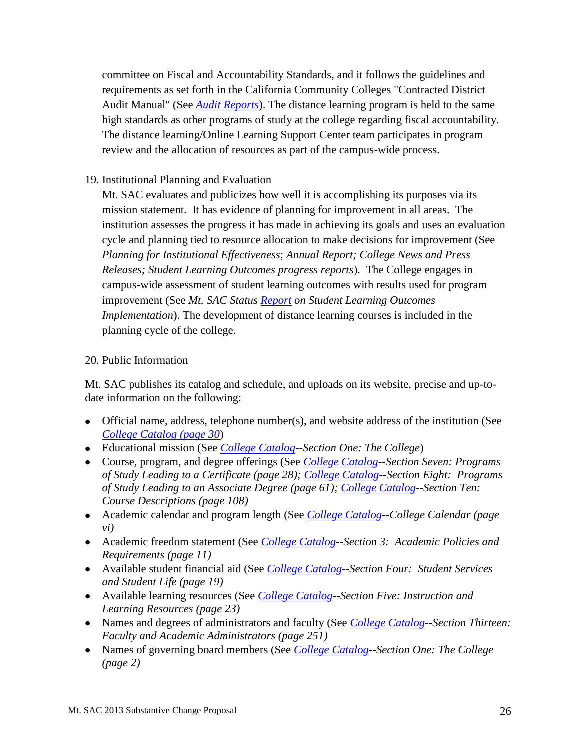The distance learning/Online Learning Support Center team participates in program committee on Fiscal and Accountability Standards, and it follows the guidelines and requirements as set forth in the California Community Colleges "Contracted District Audit Manual" (See *[Audit Reports](http://www.mtsac.edu/about/facts/audit_report.html)*). The distance learning program is held to the same high standards as other programs of study at the college regarding fiscal accountability. review and the allocation of resources as part of the campus-wide process.

#### 19. Institutional Planning and Evaluation

Mt. SAC evaluates and publicizes how well it is accomplishing its purposes via its mission statement. It has evidence of planning for improvement in all areas. The institution assesses the progress it has made in achieving its goals and uses an evaluation cycle and planning tied to resource allocation to make decisions for improvement (See *Planning for Institutional Effectiveness*; *Annual Report; College News and Press Releases; Student Learning Outcomes progress reports*). The College engages in campus-wide assessment of student learning outcomes with results used for program improvement (See *Mt. SAC Status [Report](http://www.mtsac.edu/administration/accreditation/2013/Learning%20Outcomes/2%20MtSAC-SLOProf-Oct11-2012.pdf) on Student Learning Outcomes Implementation*). The development of distance learning courses is included in the planning cycle of the college.

#### 20. Public Information

Mt. SAC publishes its catalog and schedule, and uploads on its website, precise and up-todate information on the following:

- Official name, address, telephone number(s), and website address of the institution (See *[College Catalog](http://www.mtsac.edu/catalog/2012/2012-13_catalog.pdf) (page 30*)
- Educational mission (See *[College Catalog](http://www.mtsac.edu/catalog/2012/2012-13_catalog.pdf)*--*Section One: The College*)
- *of Study Leading to an Associate Degree (page 61); [College Catalog-](http://www.mtsac.edu/catalog/2012/2012-13_catalog.pdf)-Section Ten:* Course, program, and degree offerings (See *[College Catalog-](http://www.mtsac.edu/catalog/2012/2012-13_catalog.pdf)-Section Seven: Programs of Study Leading to a Certificate (page 28); [College Catalog-](http://www.mtsac.edu/catalog/2012/2012-13_catalog.pdf)-Section Eight: Programs Course Descriptions (page 108)*
- Academic calendar and program length (See *[College Catalog-](http://www.mtsac.edu/catalog/2012/2012-13_catalog.pdf)-College Calendar (page vi)*
- Academic freedom statement (See *[College Catalog-](http://www.mtsac.edu/catalog/2012/2012-13_catalog.pdf)-Section 3: Academic Policies and Requirements (page 11)*
- Available student financial aid (See *[College Catalog-](http://www.mtsac.edu/catalog/2012/2012-13_catalog.pdf)-Section Four: Student Services and Student Life (page 19)*
- Available learning resources (See *[College Catalog-](http://www.mtsac.edu/catalog/2012/2012-13_catalog.pdf)-Section Five: Instruction and Learning Resources (page 23)*
- Names and degrees of administrators and faculty (See *[College Catalog-](http://www.mtsac.edu/catalog/2012/2012-13_catalog.pdf)-Section Thirteen: Faculty and Academic Administrators (page 251)*
- Names of governing board members (See *[College Catalog-](http://www.mtsac.edu/catalog/2012/2012-13_catalog.pdf)-Section One: The College (page 2)*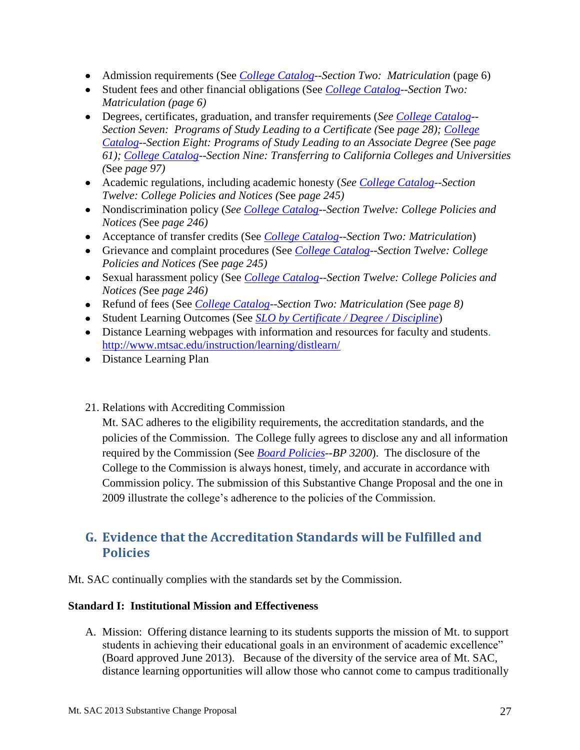- Admission requirements (See *College Catalog* Section Two: Matriculation (page 6)
- Student fees and other financial obligations (See *[College Catalog-](http://www.mtsac.edu/catalog/2012/2012-13_catalog.pdf)-Section Two: Matriculation (page 6)*
- *(*See *page 97)* Degrees, certificates, graduation, and transfer requirements (*See [College Catalog-](http://www.mtsac.edu/catalog/2012/2012-13_catalog.pdf)- Section Seven: Programs of Study Leading to a Certificate (*See *page 28); [College](http://www.mtsac.edu/catalog/2012/2012-13_catalog.pdf) [Catalog-](http://www.mtsac.edu/catalog/2012/2012-13_catalog.pdf)-Section Eight: Programs of Study Leading to an Associate Degree (*See *page 61); [College Catalog-](http://www.mtsac.edu/catalog/2012/2012-13_catalog.pdf)-Section Nine: Transferring to California Colleges and Universities*
- *Twelve: College Policies and Notices (*See *page 245)* Academic regulations, including academic honesty (*See [College Catalog-](http://www.mtsac.edu/catalog/2012/2012-13_catalog.pdf)-Section*
- *Notices (*See *page 246)* Nondiscrimination policy (*See [College Catalog-](http://www.mtsac.edu/catalog/2012/2012-13_catalog.pdf)-Section Twelve: College Policies and*
- Acceptance of transfer credits (See *[College Catalog-](http://www.mtsac.edu/catalog/2012/2012-13_catalog.pdf)-Section Two: Matriculation*)
- *Policies and Notices (*See *page 245)* Grievance and complaint procedures (See *[College Catalog-](http://www.mtsac.edu/catalog/2012/2012-13_catalog.pdf)-Section Twelve: College*
- Sexual harassment policy (See *[College Catalog-](http://www.mtsac.edu/catalog/2012/2012-13_catalog.pdf)-Section Twelve: College Policies and Notices (*See *page 246)*
- Refund of fees (See *[College Catalog-](http://www.mtsac.edu/catalog/2012/2012-13_catalog.pdf)-Section Two: Matriculation (*See *page 8)*
- Student Learning Outcomes (See *[SLO by Certificate / Degree / Discipline](http://www.mtsac.edu/instruction/outcomes/sloinfo.html)*)
- Distance Learning webpages with information and resources for faculty and students. <http://www.mtsac.edu/instruction/learning/distlearn/>
- Distance Learning Plan
- 21. Relations with Accrediting Commission

Mt. SAC adheres to the eligibility requirements, the accreditation standards, and the policies of the Commission. The College fully agrees to disclose any and all information required by the Commission (See *[Board Policies-](http://www.mtsac.edu/governance/trustees/policies.html)-BP 3200*). The disclosure of the College to the Commission is always honest, timely, and accurate in accordance with Commission policy. The submission of this Substantive Change Proposal and the one in 2009 illustrate the college's adherence to the policies of the Commission.

# <span id="page-26-0"></span> **G. Evidence that the Accreditation Standards will be Fulfilled and Policies**

Mt. SAC continually complies with the standards set by the Commission.

#### **Standard I: Institutional Mission and Effectiveness**

A. Mission: Offering distance learning to its students supports the mission of Mt. to support students in achieving their educational goals in an environment of academic excellence" (Board approved June 2013). Because of the diversity of the service area of Mt. SAC, distance learning opportunities will allow those who cannot come to campus traditionally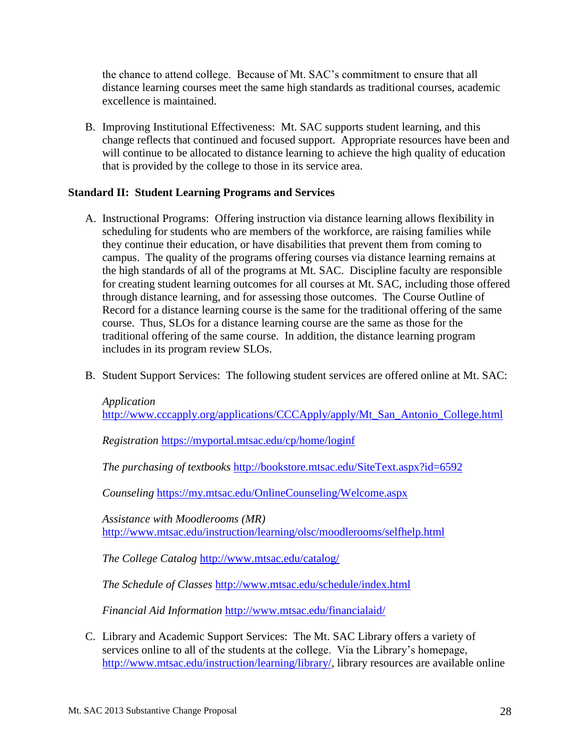the chance to attend college. Because of Mt. SAC's commitment to ensure that all distance learning courses meet the same high standards as traditional courses, academic excellence is maintained.

B. Improving Institutional Effectiveness: Mt. SAC supports student learning, and this will continue to be allocated to distance learning to achieve the high quality of education change reflects that continued and focused support. Appropriate resources have been and that is provided by the college to those in its service area.

#### **Standard II: Student Learning Programs and Services**

- A. Instructional Programs: Offering instruction via distance learning allows flexibility in campus. The quality of the programs offering courses via distance learning remains at Record for a distance learning course is the same for the traditional offering of the same course. Thus, SLOs for a distance learning course are the same as those for the scheduling for students who are members of the workforce, are raising families while they continue their education, or have disabilities that prevent them from coming to the high standards of all of the programs at Mt. SAC. Discipline faculty are responsible for creating student learning outcomes for all courses at Mt. SAC, including those offered through distance learning, and for assessing those outcomes. The Course Outline of traditional offering of the same course. In addition, the distance learning program includes in its program review SLOs.
- B. Student Support Services: The following student services are offered online at Mt. SAC:

*Application*  [http://www.cccapply.org/applications/CCCApply/apply/Mt\\_San\\_Antonio\\_College.html](http://www.cccapply.org/applications/CCCApply/apply/Mt_San_Antonio_College.html) 

*Registration* <https://myportal.mtsac.edu/cp/home/loginf>

*The purchasing of textbooks* <http://bookstore.mtsac.edu/SiteText.aspx?id=6592>

*Counseling* <https://my.mtsac.edu/OnlineCounseling/Welcome.aspx>

 <http://www.mtsac.edu/instruction/learning/olsc/moodlerooms/selfhelp.html>*Assistance with Moodlerooms (MR)* 

*The College Catalog* <http://www.mtsac.edu/catalog/>

*The Schedule of Classes* <http://www.mtsac.edu/schedule/index.html>

*Financial Aid Information* <http://www.mtsac.edu/financialaid/>

[http://www.mtsac.edu/instruction/learning/library/,](http://www.mtsac.edu/instruction/learning/library/) library resources are available online C. Library and Academic Support Services: The Mt. SAC Library offers a variety of services online to all of the students at the college. Via the Library's homepage,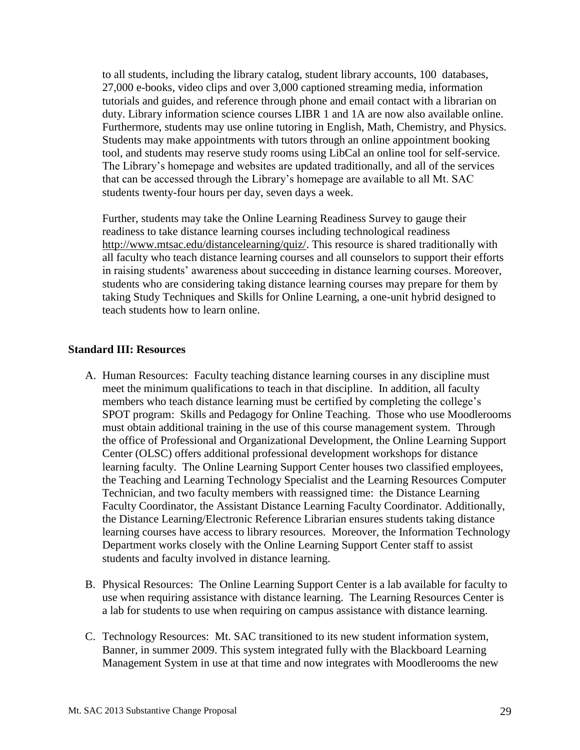students twenty-four hours per day, seven days a week. to all students, including the library catalog, student library accounts, 100 databases, 27,000 e-books, video clips and over 3,000 captioned streaming media, information tutorials and guides, and reference through phone and email contact with a librarian on duty. Library information science courses LIBR 1 and 1A are now also available online. Furthermore, students may use online tutoring in English, Math, Chemistry, and Physics. Students may make appointments with tutors through an online appointment booking tool, and students may reserve study rooms using LibCal an online tool for self-service. The Library's homepage and websites are updated traditionally, and all of the services that can be accessed through the Library's homepage are available to all Mt. SAC

 students who are considering taking distance learning courses may prepare for them by Further, students may take the Online Learning Readiness Survey to gauge their readiness to take distance learning courses including technological readiness [http://www.mtsac.edu/distancelearning/quiz/.](http://www.mtsac.edu/distancelearning/quiz/) This resource is shared traditionally with all faculty who teach distance learning courses and all counselors to support their efforts in raising students' awareness about succeeding in distance learning courses. Moreover, taking Study Techniques and Skills for Online Learning, a one-unit hybrid designed to teach students how to learn online.

#### **Standard III: Resources**

- members who teach distance learning must be certified by completing the college's SPOT program: Skills and Pedagogy for Online Teaching. Those who use Moodlerooms Center (OLSC) offers additional professional development workshops for distance Technician, and two faculty members with reassigned time: the Distance Learning the Distance Learning/Electronic Reference Librarian ensures students taking distance A. Human Resources: Faculty teaching distance learning courses in any discipline must meet the minimum qualifications to teach in that discipline. In addition, all faculty must obtain additional training in the use of this course management system. Through the office of Professional and Organizational Development, the Online Learning Support learning faculty. The Online Learning Support Center houses two classified employees, the Teaching and Learning Technology Specialist and the Learning Resources Computer Faculty Coordinator, the Assistant Distance Learning Faculty Coordinator. Additionally, learning courses have access to library resources. Moreover, the Information Technology Department works closely with the Online Learning Support Center staff to assist students and faculty involved in distance learning.
- B. Physical Resources: The Online Learning Support Center is a lab available for faculty to use when requiring assistance with distance learning. The Learning Resources Center is a lab for students to use when requiring on campus assistance with distance learning.
- Banner, in summer 2009. This system integrated fully with the Blackboard Learning C. Technology Resources: Mt. SAC transitioned to its new student information system, Management System in use at that time and now integrates with Moodlerooms the new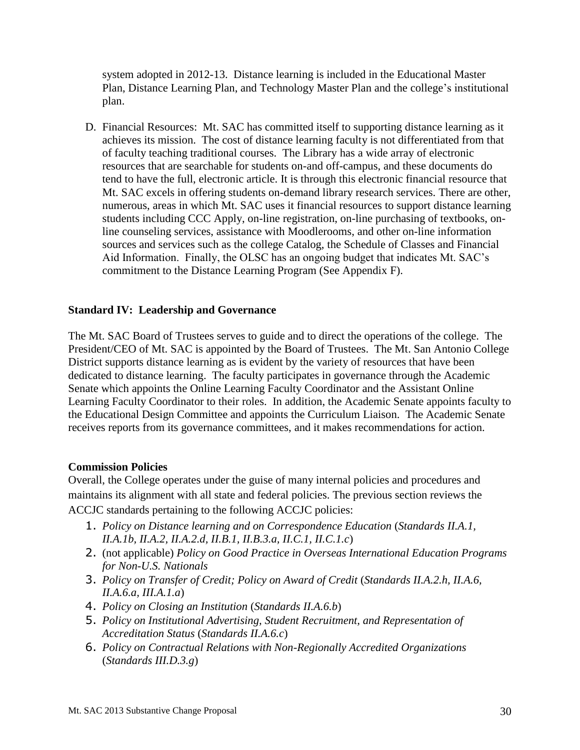Plan, Distance Learning Plan, and Technology Master Plan and the college's institutional system adopted in 2012-13. Distance learning is included in the Educational Master plan.

D. Financial Resources: Mt. SAC has committed itself to supporting distance learning as it of faculty teaching traditional courses. The Library has a wide array of electronic commitment to the Distance Learning Program (See Appendix F). achieves its mission. The cost of distance learning faculty is not differentiated from that resources that are searchable for students on-and off-campus, and these documents do tend to have the full, electronic article. It is through this electronic financial resource that Mt. SAC excels in offering students on-demand library research services. There are other, numerous, areas in which Mt. SAC uses it financial resources to support distance learning students including CCC Apply, on-line registration, on-line purchasing of textbooks, online counseling services, assistance with Moodlerooms, and other on-line information sources and services such as the college Catalog, the Schedule of Classes and Financial Aid Information. Finally, the OLSC has an ongoing budget that indicates Mt. SAC's

#### **Standard IV: Leadership and Governance**

The Mt. SAC Board of Trustees serves to guide and to direct the operations of the college. The President/CEO of Mt. SAC is appointed by the Board of Trustees. The Mt. San Antonio College District supports distance learning as is evident by the variety of resources that have been dedicated to distance learning. The faculty participates in governance through the Academic Senate which appoints the Online Learning Faculty Coordinator and the Assistant Online Learning Faculty Coordinator to their roles. In addition, the Academic Senate appoints faculty to the Educational Design Committee and appoints the Curriculum Liaison. The Academic Senate receives reports from its governance committees, and it makes recommendations for action.

#### **Commission Policies**

Overall, the College operates under the guise of many internal policies and procedures and maintains its alignment with all state and federal policies. The previous section reviews the ACCJC standards pertaining to the following ACCJC policies:

- 1. Policy on Distance learning and on Correspondence Education (Standards II.A.1, *II.A.1b, II.A.2, II.A.2.d, II.B.1, II.B.3.a, II.C.1, II.C.1.c*)
- *for Non-U.S. Nationals* 2. (not applicable) *Policy on Good Practice in Overseas International Education Programs*
- 3. *Policy on Transfer of Credit; Policy on Award of Credit* (*Standards II.A.2.h, II.A.6, II.A.6.a, III.A.1.a*)
- 4. *Policy on Closing an Institution* (*Standards II.A.6.b*)
- 5. *Policy on Institutional Advertising, Student Recruitment, and Representation of Accreditation Status* (*Standards II.A.6.c*)
- 6. *Policy on Contractual Relations with Non-Regionally Accredited Organizations* (*Standards III.D.3.g*)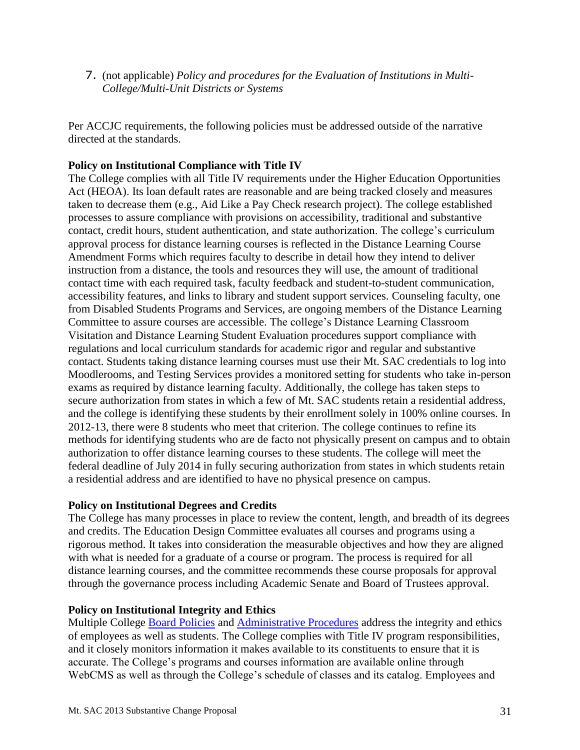7. (not applicable) *Policy and procedures for the Evaluation of Institutions in Multi-College/Multi-Unit Districts or Systems*

 Per ACCJC requirements, the following policies must be addressed outside of the narrative directed at the standards.

#### **Policy on Institutional Compliance with Title IV**

 from Disabled Students Programs and Services, are ongoing members of the Distance Learning a residential address and are identified to have no physical presence on campus. The College complies with all Title IV requirements under the Higher Education Opportunities Act (HEOA). Its loan default rates are reasonable and are being tracked closely and measures taken to decrease them (e.g., Aid Like a Pay Check research project). The college established processes to assure compliance with provisions on accessibility, traditional and substantive contact, credit hours, student authentication, and state authorization. The college's curriculum approval process for distance learning courses is reflected in the Distance Learning Course Amendment Forms which requires faculty to describe in detail how they intend to deliver instruction from a distance, the tools and resources they will use, the amount of traditional contact time with each required task, faculty feedback and student-to-student communication, accessibility features, and links to library and student support services. Counseling faculty, one Committee to assure courses are accessible. The college's Distance Learning Classroom Visitation and Distance Learning Student Evaluation procedures support compliance with regulations and local curriculum standards for academic rigor and regular and substantive contact. Students taking distance learning courses must use their Mt. SAC credentials to log into Moodlerooms, and Testing Services provides a monitored setting for students who take in-person exams as required by distance learning faculty. Additionally, the college has taken steps to secure authorization from states in which a few of Mt. SAC students retain a residential address, and the college is identifying these students by their enrollment solely in 100% online courses. In 2012-13, there were 8 students who meet that criterion. The college continues to refine its methods for identifying students who are de facto not physically present on campus and to obtain authorization to offer distance learning courses to these students. The college will meet the federal deadline of July 2014 in fully securing authorization from states in which students retain

#### **Policy on Institutional Degrees and Credits**

 and credits. The Education Design Committee evaluates all courses and programs using a rigorous method. It takes into consideration the measurable objectives and how they are aligned The College has many processes in place to review the content, length, and breadth of its degrees with what is needed for a graduate of a course or program. The process is required for all distance learning courses, and the committee recommends these course proposals for approval through the governance process including Academic Senate and Board of Trustees approval.

#### **Policy on Institutional Integrity and Ethics**

Multiple College **Board Policies and Administrative Procedures** address the integrity and ethics of employees as well as students. The College complies with Title IV program responsibilities, and it closely monitors information it makes available to its constituents to ensure that it is accurate. The College's programs and courses information are available online through WebCMS as well as through the College's schedule of classes and its catalog. Employees and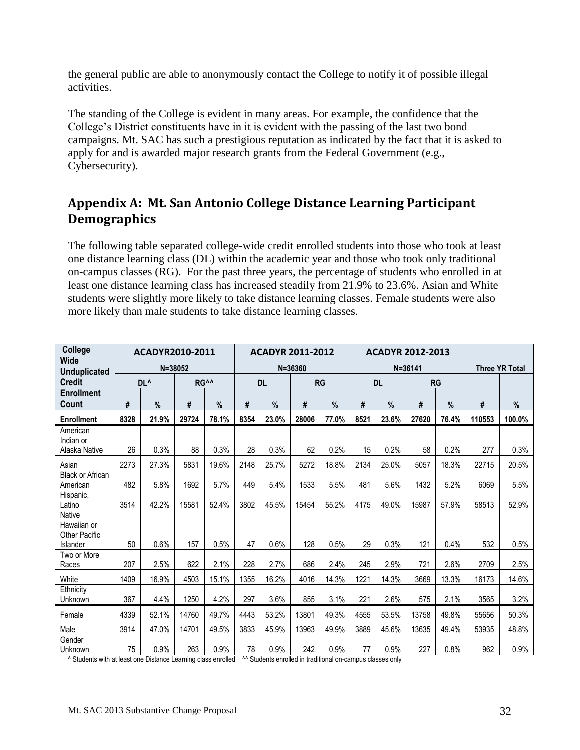the general public are able to anonymously contact the College to notify it of possible illegal activities.

 The standing of the College is evident in many areas. For example, the confidence that the College's District constituents have in it is evident with the passing of the last two bond campaigns. Mt. SAC has such a prestigious reputation as indicated by the fact that it is asked to apply for and is awarded major research grants from the Federal Government (e.g., Cybersecurity).

# <span id="page-31-0"></span>**Appendix A: Mt. San Antonio College Distance Learning Participant Demographics**

 The following table separated college-wide credit enrolled students into those who took at least one distance learning class (DL) within the academic year and those who took only traditional on-campus classes (RG). For the past three years, the percentage of students who enrolled in at least one distance learning class has increased steadily from 21.9% to 23.6%. Asian and White students were slightly more likely to take distance learning classes. Female students were also more likely than male students to take distance learning classes.

| College                                       |      |                 | ACADYR2010-2011<br><b>ACADYR 2011-2012</b><br><b>ACADYR 2012-2013</b> |                  |             |           |       |               |      |               |                       |           |        |        |
|-----------------------------------------------|------|-----------------|-----------------------------------------------------------------------|------------------|-------------|-----------|-------|---------------|------|---------------|-----------------------|-----------|--------|--------|
| <b>Wide</b><br><b>Unduplicated</b>            |      | $N = 38052$     |                                                                       |                  | $N = 36360$ |           |       | $N = 36141$   |      |               | <b>Three YR Total</b> |           |        |        |
| <b>Credit</b>                                 |      | DL <sup>^</sup> |                                                                       | RG <sup>^^</sup> |             | <b>DL</b> |       | <b>RG</b>     |      | <b>DL</b>     |                       | <b>RG</b> |        |        |
| <b>Enrollment</b><br>Count                    | #    | %               | #                                                                     | %                | #           | $\%$      | #     | $\frac{9}{6}$ | #    | $\frac{0}{0}$ | #                     | $\%$      | #      | %      |
| <b>Enrollment</b>                             | 8328 | 21.9%           | 29724                                                                 | 78.1%            | 8354        | 23.0%     | 28006 | 77.0%         | 8521 | 23.6%         | 27620                 | 76.4%     | 110553 | 100.0% |
| American<br>Indian or<br>Alaska Native        | 26   | 0.3%            | 88                                                                    | 0.3%             | 28          | 0.3%      | 62    | 0.2%          | 15   | 0.2%          | 58                    | 0.2%      | 277    | 0.3%   |
| Asian                                         | 2273 | 27.3%           | 5831                                                                  | 19.6%            | 2148        | 25.7%     | 5272  | 18.8%         | 2134 | 25.0%         | 5057                  | 18.3%     | 22715  | 20.5%  |
| <b>Black or African</b><br>American           | 482  | 5.8%            | 1692                                                                  | 5.7%             | 449         | 5.4%      | 1533  | 5.5%          | 481  | 5.6%          | 1432                  | 5.2%      | 6069   | 5.5%   |
| Hispanic,<br>Latino                           | 3514 | 42.2%           | 15581                                                                 | 52.4%            | 3802        | 45.5%     | 15454 | 55.2%         | 4175 | 49.0%         | 15987                 | 57.9%     | 58513  | 52.9%  |
| Native<br>Hawaiian or<br><b>Other Pacific</b> |      |                 |                                                                       |                  |             |           |       |               |      |               |                       |           |        |        |
| Islander                                      | 50   | 0.6%            | 157                                                                   | 0.5%             | 47          | 0.6%      | 128   | 0.5%          | 29   | 0.3%          | 121                   | 0.4%      | 532    | 0.5%   |
| Two or More<br>Races                          | 207  | 2.5%            | 622                                                                   | 2.1%             | 228         | 2.7%      | 686   | 2.4%          | 245  | 2.9%          | 721                   | 2.6%      | 2709   | 2.5%   |
| White                                         | 1409 | 16.9%           | 4503                                                                  | 15.1%            | 1355        | 16.2%     | 4016  | 14.3%         | 1221 | 14.3%         | 3669                  | 13.3%     | 16173  | 14.6%  |
| Ethnicity<br>Unknown                          | 367  | 4.4%            | 1250                                                                  | 4.2%             | 297         | 3.6%      | 855   | 3.1%          | 221  | 2.6%          | 575                   | 2.1%      | 3565   | 3.2%   |
| Female                                        | 4339 | 52.1%           | 14760                                                                 | 49.7%            | 4443        | 53.2%     | 13801 | 49.3%         | 4555 | 53.5%         | 13758                 | 49.8%     | 55656  | 50.3%  |
| Male                                          | 3914 | 47.0%           | 14701                                                                 | 49.5%            | 3833        | 45.9%     | 13963 | 49.9%         | 3889 | 45.6%         | 13635                 | 49.4%     | 53935  | 48.8%  |
| Gender<br>Unknown                             | 75   | 0.9%            | 263                                                                   | 0.9%             | 78          | 0.9%      | 242   | 0.9%          | 77   | 0.9%          | 227                   | 0.8%      | 962    | 0.9%   |

^ Students with at least one Distance Learning class enrolled ^^ Students enrolled in traditional on-campus classes only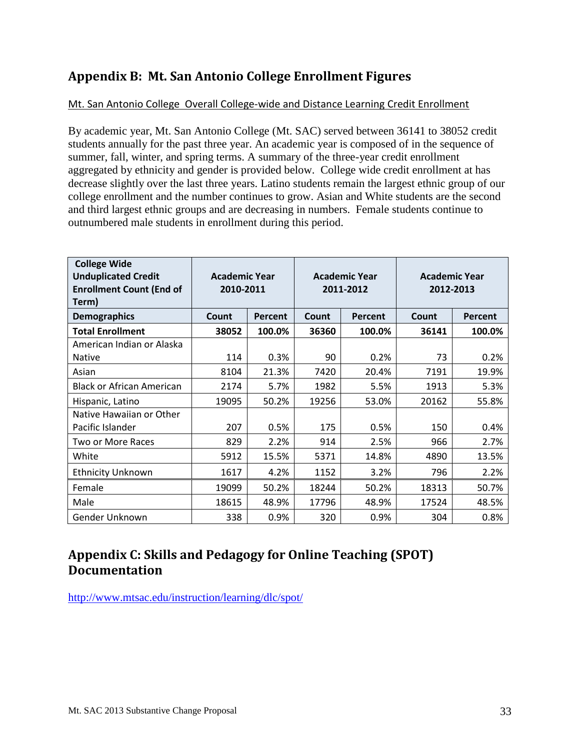# <span id="page-32-0"></span>**Appendix B: Mt. San Antonio College Enrollment Figures**

### Mt. San Antonio College Overall College-wide and Distance Learning Credit Enrollment

 students annually for the past three year. An academic year is composed of in the sequence of decrease slightly over the last three years. Latino students remain the largest ethnic group of our By academic year, Mt. San Antonio College (Mt. SAC) served between 36141 to 38052 credit summer, fall, winter, and spring terms. A summary of the three-year credit enrollment aggregated by ethnicity and gender is provided below. College wide credit enrollment at has college enrollment and the number continues to grow. Asian and White students are the second and third largest ethnic groups and are decreasing in numbers. Female students continue to outnumbered male students in enrollment during this period.

| <b>College Wide</b><br><b>Unduplicated Credit</b><br><b>Enrollment Count (End of</b><br>Term) | <b>Academic Year</b><br>2010-2011 |                |       | <b>Academic Year</b><br>2011-2012 | <b>Academic Year</b><br>2012-2013 |                |  |
|-----------------------------------------------------------------------------------------------|-----------------------------------|----------------|-------|-----------------------------------|-----------------------------------|----------------|--|
| <b>Demographics</b>                                                                           | Count                             | <b>Percent</b> | Count | Percent                           | Count                             | <b>Percent</b> |  |
| <b>Total Enrollment</b>                                                                       | 38052                             | 100.0%         | 36360 | 100.0%                            | 36141                             | 100.0%         |  |
| American Indian or Alaska<br><b>Native</b>                                                    | 114                               | 0.3%           | 90    | 0.2%                              | 73                                | 0.2%           |  |
| Asian                                                                                         | 8104                              | 21.3%          | 7420  | 20.4%                             | 7191                              | 19.9%          |  |
| <b>Black or African American</b>                                                              | 2174                              | 5.7%           | 1982  | 5.5%                              | 1913                              | 5.3%           |  |
| Hispanic, Latino                                                                              | 19095                             | 50.2%          | 19256 | 53.0%                             | 20162                             | 55.8%          |  |
| Native Hawaiian or Other<br>Pacific Islander                                                  | 207                               | 0.5%           | 175   | 0.5%                              | 150                               | 0.4%           |  |
| Two or More Races                                                                             | 829                               | 2.2%           | 914   | 2.5%                              | 966                               | 2.7%           |  |
| White                                                                                         | 5912                              | 15.5%          | 5371  | 14.8%                             | 4890                              | 13.5%          |  |
| <b>Ethnicity Unknown</b>                                                                      | 1617                              | 4.2%           | 1152  | 3.2%                              | 796                               | 2.2%           |  |
| Female                                                                                        | 19099                             | 50.2%          | 18244 | 50.2%                             | 18313                             | 50.7%          |  |
| Male                                                                                          | 18615                             | 48.9%          | 17796 | 48.9%                             | 17524                             | 48.5%          |  |
| Gender Unknown                                                                                | 338                               | 0.9%           | 320   | 0.9%                              | 304                               | 0.8%           |  |

# <span id="page-32-1"></span>**Appendix C: Skills and Pedagogy for Online Teaching (SPOT) Documentation**

<http://www.mtsac.edu/instruction/learning/dlc/spot/>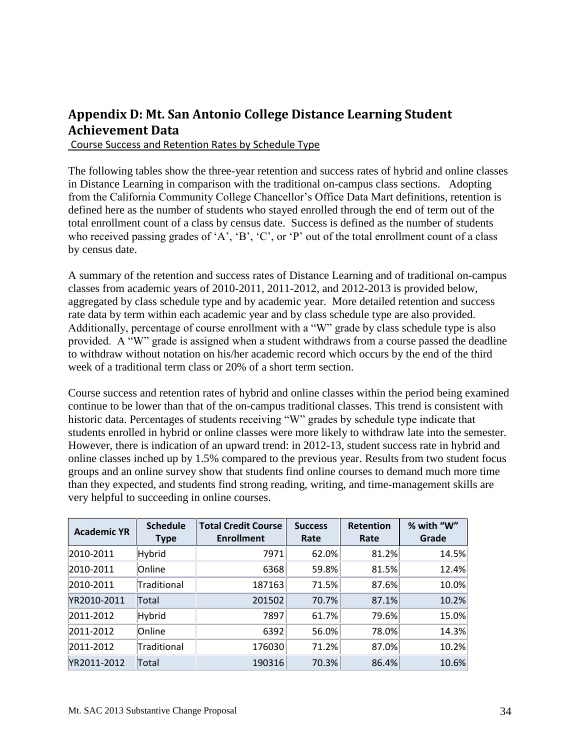# <span id="page-33-0"></span> **Appendix D: Mt. San Antonio College Distance Learning Student Achievement Data**

Course Success and Retention Rates by Schedule Type

 in Distance Learning in comparison with the traditional on-campus class sections. Adopting The following tables show the three-year retention and success rates of hybrid and online classes from the California Community College Chancellor's Office Data Mart definitions, retention is defined here as the number of students who stayed enrolled through the end of term out of the total enrollment count of a class by census date. Success is defined as the number of students who received passing grades of 'A', 'B', 'C', or 'P' out of the total enrollment count of a class by census date.

 A summary of the retention and success rates of Distance Learning and of traditional on-campus Additionally, percentage of course enrollment with a "W" grade by class schedule type is also week of a traditional term class or 20% of a short term section. classes from academic years of 2010-2011, 2011-2012, and 2012-2013 is provided below, aggregated by class schedule type and by academic year. More detailed retention and success rate data by term within each academic year and by class schedule type are also provided. provided. A "W" grade is assigned when a student withdraws from a course passed the deadline to withdraw without notation on his/her academic record which occurs by the end of the third

 continue to be lower than that of the on-campus traditional classes. This trend is consistent with very helpful to succeeding in online courses. Course success and retention rates of hybrid and online classes within the period being examined historic data. Percentages of students receiving "W" grades by schedule type indicate that students enrolled in hybrid or online classes were more likely to withdraw late into the semester. However, there is indication of an upward trend: in 2012-13, student success rate in hybrid and online classes inched up by 1.5% compared to the previous year. Results from two student focus groups and an online survey show that students find online courses to demand much more time than they expected, and students find strong reading, writing, and time-management skills are

| <b>Academic YR</b> | <b>Schedule</b><br><b>Type</b> | <b>Total Credit Course</b><br><b>Enrollment</b> | <b>Success</b><br>Rate | <b>Retention</b><br>Rate | % with "W"<br>Grade |
|--------------------|--------------------------------|-------------------------------------------------|------------------------|--------------------------|---------------------|
| 2010-2011          | Hybrid                         | 7971                                            | 62.0%                  | 81.2%                    | 14.5%               |
| 2010-2011          | Online                         | 6368                                            | 59.8%                  | 81.5%                    | 12.4%               |
| 2010-2011          | Traditional                    | 187163                                          | 71.5%                  | 87.6%                    | 10.0%               |
| YR2010-2011        | Total                          | 201502                                          | 70.7%                  | 87.1%                    | 10.2%               |
| 2011-2012          | Hybrid                         | 7897                                            | 61.7%                  | 79.6%                    | 15.0%               |
| 2011-2012          | Online                         | 6392                                            | 56.0%                  | 78.0%                    | 14.3%               |
| 2011-2012          | Traditional                    | 176030                                          | 71.2%                  | 87.0%                    | 10.2%               |
| YR2011-2012        | Total                          | 190316                                          | 70.3%                  | 86.4%                    | 10.6%               |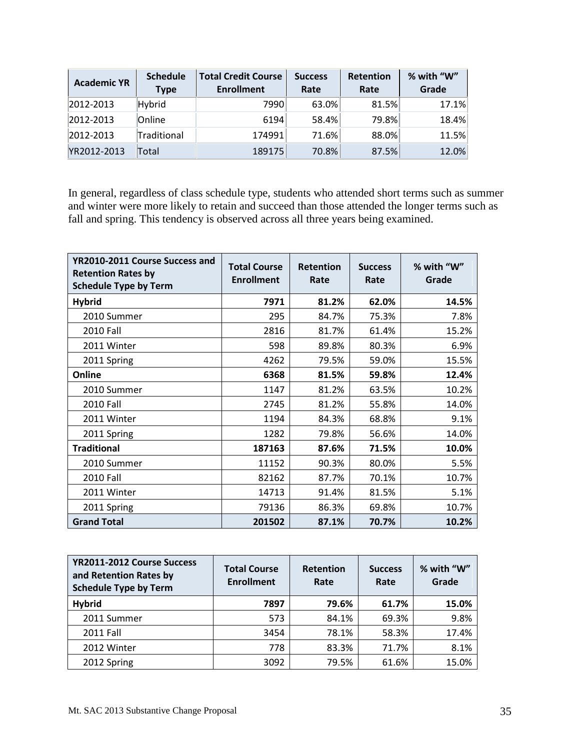| <b>Academic YR</b> | <b>Schedule</b><br><b>Type</b> | <b>Total Credit Course</b><br><b>Enrollment</b> | <b>Success</b><br>Rate | <b>Retention</b><br>Rate | % with "W"<br>Grade |
|--------------------|--------------------------------|-------------------------------------------------|------------------------|--------------------------|---------------------|
| 2012-2013          | Hybrid                         | 7990                                            | 63.0%                  | 81.5%                    | 17.1%               |
| 2012-2013          | Online                         | 6194                                            | 58.4%                  | 79.8%                    | 18.4%               |
| 2012-2013          | Traditional                    | 174991                                          | 71.6%                  | 88.0%                    | 11.5%               |
| YR2012-2013        | Total                          | 189175                                          | 70.8%                  | 87.5%                    | 12.0%               |

In general, regardless of class schedule type, students who attended short terms such as summer and winter were more likely to retain and succeed than those attended the longer terms such as fall and spring. This tendency is observed across all three years being examined.

| YR2010-2011 Course Success and<br><b>Retention Rates by</b><br><b>Schedule Type by Term</b> | <b>Total Course</b><br><b>Enrollment</b> | <b>Retention</b><br>Rate | <b>Success</b><br>Rate | % with "W"<br>Grade |
|---------------------------------------------------------------------------------------------|------------------------------------------|--------------------------|------------------------|---------------------|
| <b>Hybrid</b>                                                                               | 7971                                     | 81.2%                    | 62.0%                  | 14.5%               |
| 2010 Summer                                                                                 | 295                                      | 84.7%                    | 75.3%                  | 7.8%                |
| <b>2010 Fall</b>                                                                            | 2816                                     | 81.7%                    | 61.4%                  | 15.2%               |
| 2011 Winter                                                                                 | 598                                      | 89.8%                    | 80.3%                  | 6.9%                |
| 2011 Spring                                                                                 | 4262                                     | 79.5%                    | 59.0%                  | 15.5%               |
| Online                                                                                      | 6368                                     | 81.5%                    | 59.8%                  | 12.4%               |
| 2010 Summer                                                                                 | 1147                                     | 81.2%                    | 63.5%                  | 10.2%               |
| 2010 Fall                                                                                   | 2745                                     | 81.2%                    | 55.8%                  | 14.0%               |
| 2011 Winter                                                                                 | 1194                                     | 84.3%                    | 68.8%                  | 9.1%                |
| 2011 Spring                                                                                 | 1282                                     | 79.8%                    | 56.6%                  | 14.0%               |
| <b>Traditional</b>                                                                          | 187163                                   | 87.6%                    | 71.5%                  | 10.0%               |
| 2010 Summer                                                                                 | 11152                                    | 90.3%                    | 80.0%                  | 5.5%                |
| 2010 Fall                                                                                   | 82162                                    | 87.7%                    | 70.1%                  | 10.7%               |
| 2011 Winter                                                                                 | 14713                                    | 91.4%                    | 81.5%                  | 5.1%                |
| 2011 Spring                                                                                 | 79136                                    | 86.3%                    | 69.8%                  | 10.7%               |
| <b>Grand Total</b>                                                                          | 201502                                   | 87.1%                    | 70.7%                  | 10.2%               |

| YR2011-2012 Course Success<br>and Retention Rates by<br><b>Schedule Type by Term</b> | <b>Total Course</b><br><b>Enrollment</b> | <b>Retention</b><br>Rate | <b>Success</b><br>Rate | % with "W"<br>Grade |
|--------------------------------------------------------------------------------------|------------------------------------------|--------------------------|------------------------|---------------------|
| <b>Hybrid</b>                                                                        | 7897                                     | 79.6%                    | 61.7%                  | 15.0%               |
| 2011 Summer                                                                          | 573                                      | 84.1%                    | 69.3%                  | 9.8%                |
| 2011 Fall                                                                            | 3454                                     | 78.1%                    | 58.3%                  | 17.4%               |
| 2012 Winter                                                                          | 778                                      | 83.3%                    | 71.7%                  | 8.1%                |
| 2012 Spring                                                                          | 3092                                     | 79.5%                    | 61.6%                  | 15.0%               |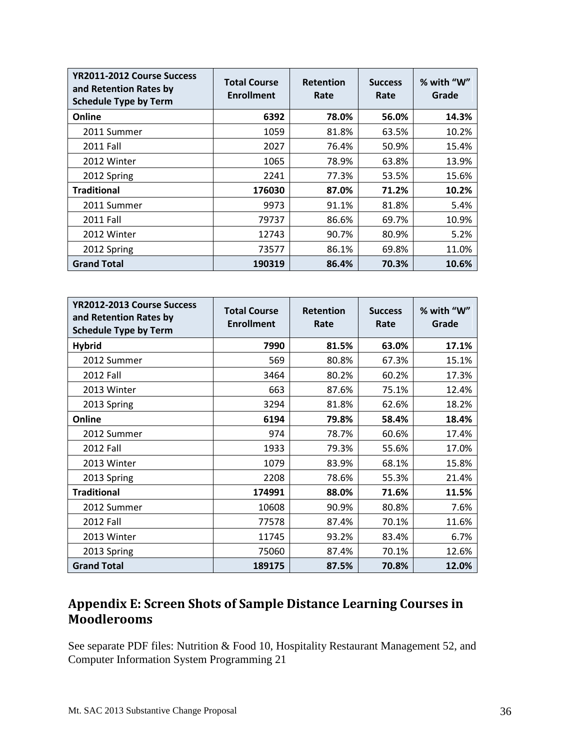| YR2011-2012 Course Success<br>and Retention Rates by<br><b>Schedule Type by Term</b> | <b>Total Course</b><br><b>Enrollment</b> | <b>Retention</b><br>Rate | <b>Success</b><br>Rate | % with "W"<br>Grade |
|--------------------------------------------------------------------------------------|------------------------------------------|--------------------------|------------------------|---------------------|
| Online                                                                               | 6392                                     | 78.0%                    | 56.0%                  | 14.3%               |
| 2011 Summer                                                                          | 1059                                     | 81.8%                    | 63.5%                  | 10.2%               |
| 2011 Fall                                                                            | 2027                                     | 76.4%                    | 50.9%                  | 15.4%               |
| 2012 Winter                                                                          | 1065                                     | 78.9%                    | 63.8%                  | 13.9%               |
| 2012 Spring                                                                          | 2241                                     | 77.3%                    | 53.5%                  | 15.6%               |
| <b>Traditional</b>                                                                   | 176030                                   | 87.0%                    | 71.2%                  | 10.2%               |
| 2011 Summer                                                                          | 9973                                     | 91.1%                    | 81.8%                  | 5.4%                |
| 2011 Fall                                                                            | 79737                                    | 86.6%                    | 69.7%                  | 10.9%               |
| 2012 Winter                                                                          | 12743                                    | 90.7%                    | 80.9%                  | 5.2%                |
| 2012 Spring                                                                          | 73577                                    | 86.1%                    | 69.8%                  | 11.0%               |
| <b>Grand Total</b>                                                                   | 190319                                   | 86.4%                    | 70.3%                  | 10.6%               |

| YR2012-2013 Course Success<br>and Retention Rates by<br><b>Schedule Type by Term</b> | <b>Total Course</b><br><b>Enrollment</b> | <b>Retention</b><br>Rate | <b>Success</b><br>Rate | % with "W"<br>Grade |
|--------------------------------------------------------------------------------------|------------------------------------------|--------------------------|------------------------|---------------------|
| <b>Hybrid</b>                                                                        | 7990                                     | 81.5%                    | 63.0%                  | 17.1%               |
| 2012 Summer                                                                          | 569                                      | 80.8%                    | 67.3%                  | 15.1%               |
| 2012 Fall                                                                            | 3464                                     | 80.2%                    | 60.2%                  | 17.3%               |
| 2013 Winter                                                                          | 663                                      | 87.6%                    | 75.1%                  | 12.4%               |
| 2013 Spring                                                                          | 3294                                     | 81.8%                    | 62.6%                  | 18.2%               |
| Online                                                                               | 6194                                     | 79.8%                    | 58.4%                  | 18.4%               |
| 2012 Summer                                                                          | 974                                      | 78.7%                    | 60.6%                  | 17.4%               |
| 2012 Fall                                                                            | 1933                                     | 79.3%                    | 55.6%                  | 17.0%               |
| 2013 Winter                                                                          | 1079                                     | 83.9%                    | 68.1%                  | 15.8%               |
| 2013 Spring                                                                          | 2208                                     | 78.6%                    | 55.3%                  | 21.4%               |
| <b>Traditional</b>                                                                   | 174991                                   | 88.0%                    | 71.6%                  | 11.5%               |
| 2012 Summer                                                                          | 10608                                    | 90.9%                    | 80.8%                  | 7.6%                |
| 2012 Fall                                                                            | 77578                                    | 87.4%                    | 70.1%                  | 11.6%               |
| 2013 Winter                                                                          | 11745                                    | 93.2%                    | 83.4%                  | 6.7%                |
| 2013 Spring                                                                          | 75060                                    | 87.4%                    | 70.1%                  | 12.6%               |
| <b>Grand Total</b>                                                                   | 189175                                   | 87.5%                    | 70.8%                  | 12.0%               |

# <span id="page-35-0"></span> **Appendix E: Screen Shots of Sample Distance Learning Courses in Moodlerooms**

See separate PDF files: Nutrition & Food 10, Hospitality Restaurant Management 52, and Computer Information System Programming 21